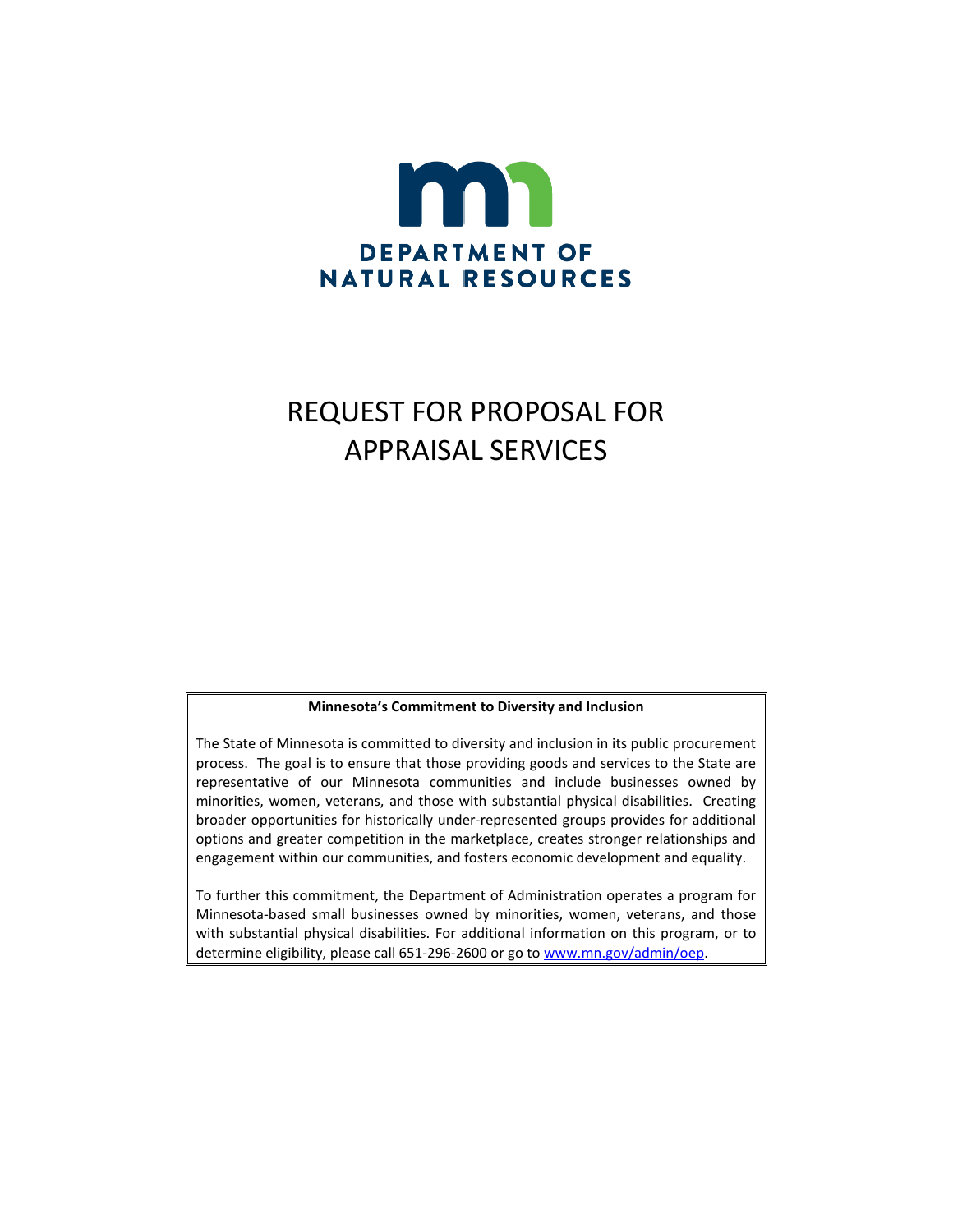

# REQUEST FOR PROPOSAL FOR APPRAISAL SERVICES

#### **Minnesota's Commitment to Diversity and Inclusion**

 minorities, women, veterans, and those with substantial physical disabilities. Creating The State of Minnesota is committed to diversity and inclusion in its public procurement process. The goal is to ensure that those providing goods and services to the State are representative of our Minnesota communities and include businesses owned by broader opportunities for historically under-represented groups provides for additional options and greater competition in the marketplace, creates stronger relationships and engagement within our communities, and fosters economic development and equality.

To further this commitment, the Department of Administration operates a program for Minnesota-based small businesses owned by minorities, women, veterans, and those with substantial physical disabilities. For additional information on this program, or to determine eligibility, please call 651-296-2600 or go t[o www.mn.gov/admin/oep.](http://www.mn.gov/admin/oep)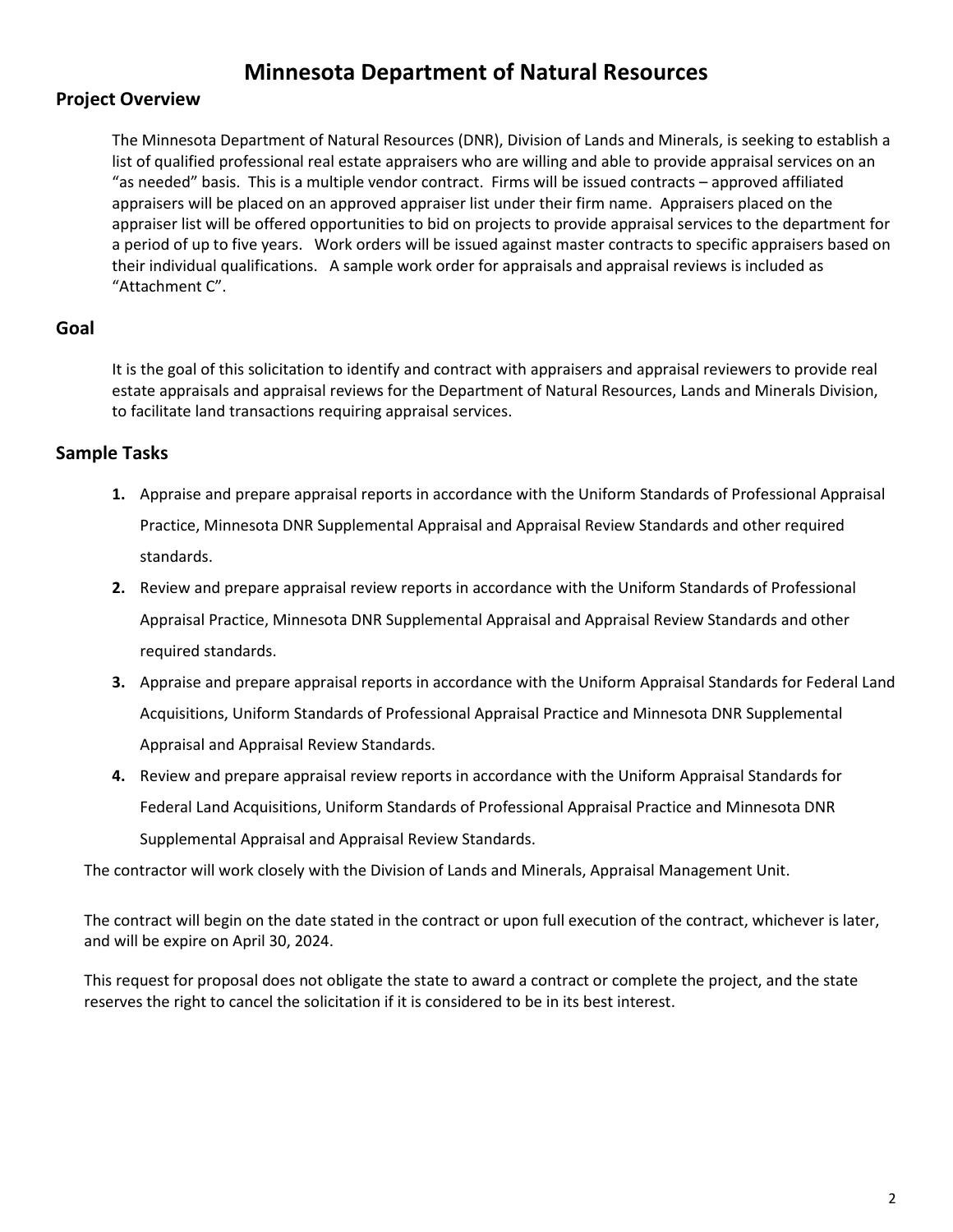## **Minnesota Department of Natural Resources**

## **Project Overview**

 list of qualified professional real estate appraisers who are willing and able to provide appraisal services on an "as needed" basis. This is a multiple vendor contract. Firms will be issued contracts – approved affiliated appraisers will be placed on an approved appraiser list under their firm name. Appraisers placed on the appraiser list will be offered opportunities to bid on projects to provide appraisal services to the department for a period of up to five years. Work orders will be issued against master contracts to specific appraisers based on their individual qualifications. A sample work order for appraisals and appraisal reviews is included as The Minnesota Department of Natural Resources (DNR), Division of Lands and Minerals, is seeking to establish a "Attachment C".

## **Goal**

It is the goal of this solicitation to identify and contract with appraisers and appraisal reviewers to provide real estate appraisals and appraisal reviews for the Department of Natural Resources, Lands and Minerals Division, to facilitate land transactions requiring appraisal services.

## **Sample Tasks**

- **1.** Appraise and prepare appraisal reports in accordance with the Uniform Standards of Professional Appraisal Practice, Minnesota DNR Supplemental Appraisal and Appraisal Review Standards and other required standards.
- required standards. **2.** Review and prepare appraisal review reports in accordance with the Uniform Standards of Professional Appraisal Practice, Minnesota DNR Supplemental Appraisal and Appraisal Review Standards and other
- **3.** Appraise and prepare appraisal reports in accordance with the Uniform Appraisal Standards for Federal Land Acquisitions, Uniform Standards of Professional Appraisal Practice and Minnesota DNR Supplemental Appraisal and Appraisal Review Standards.
- **4.** Review and prepare appraisal review reports in accordance with the Uniform Appraisal Standards for Federal Land Acquisitions, Uniform Standards of Professional Appraisal Practice and Minnesota DNR Supplemental Appraisal and Appraisal Review Standards.

The contractor will work closely with the Division of Lands and Minerals, Appraisal Management Unit.

 The contract will begin on the date stated in the contract or upon full execution of the contract, whichever is later, and will be expire on April 30, 2024.

This request for proposal does not obligate the state to award a contract or complete the project, and the state reserves the right to cancel the solicitation if it is considered to be in its best interest.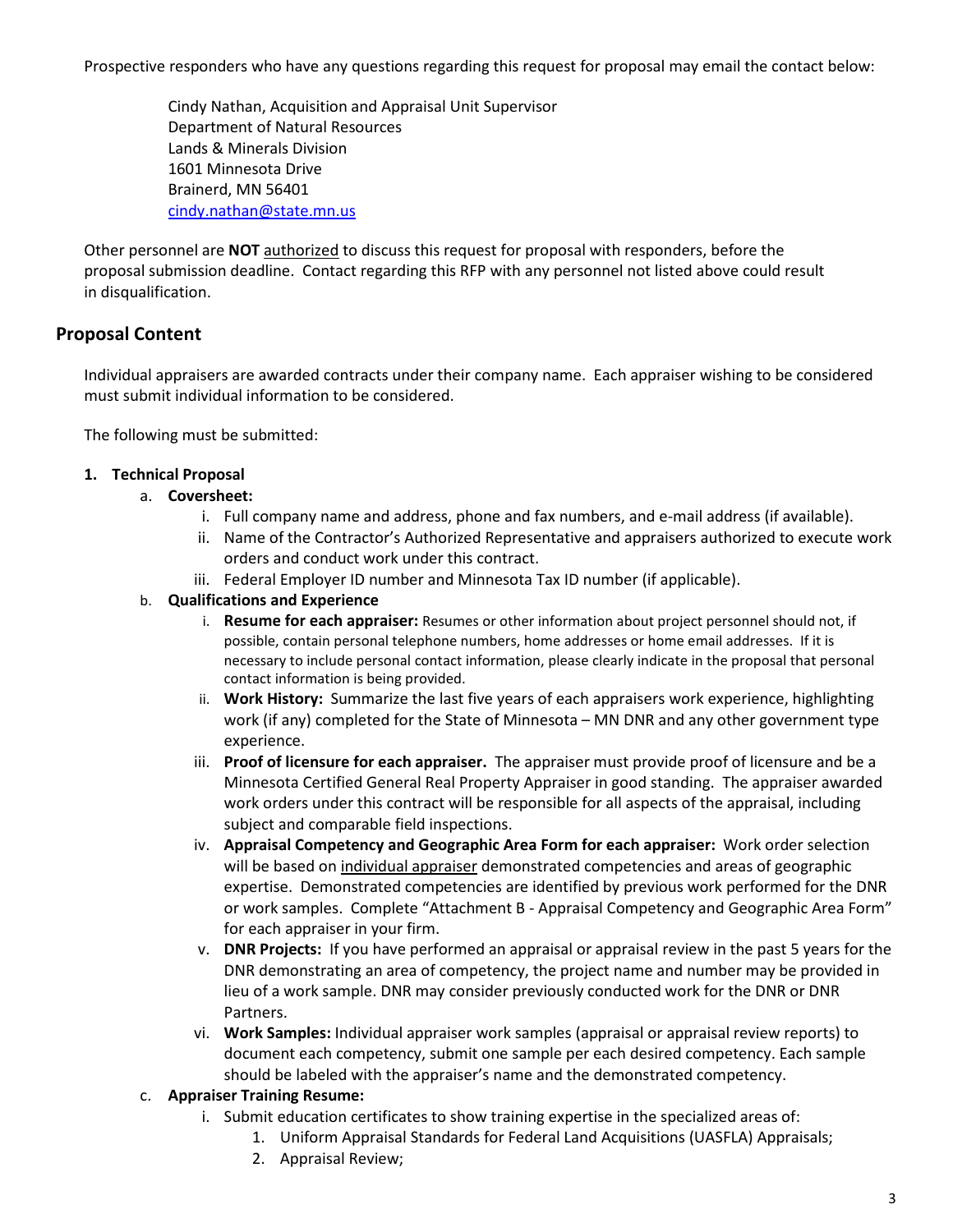Prospective responders who have any questions regarding this request for proposal may email the contact below:

Cindy Nathan, Acquisition and Appraisal Unit Supervisor Department of Natural Resources Lands & Minerals Division 1601 Minnesota Drive Brainerd, MN 56401 [cindy.nathan@state.mn.us](mailto:cindy.nathan@state.mn.us) 

Other personnel are **NOT** authorized to discuss this request for proposal with responders, before the proposal submission deadline. Contact regarding this RFP with any personnel not listed above could result in disqualification.

## **Proposal Content**

 Individual appraisers are awarded contracts under their company name. Each appraiser wishing to be considered must submit individual information to be considered.

The following must be submitted:

## **1. Technical Proposal**

- a. **Coversheet:** 
	- i. Full company name and address, phone and fax numbers, and e-mail address (if available).
	- orders and conduct work under this contract. ii. Name of the Contractor's Authorized Representative and appraisers authorized to execute work
	- iii. Federal Employer ID number and Minnesota Tax ID number (if applicable).

## b. **Qualifications and Experience**

- possible, contain personal telephone numbers, home addresses or home email addresses. If it is i. **Resume for each appraiser:** Resumes or other information about project personnel should not, if necessary to include personal contact information, please clearly indicate in the proposal that personal contact information is being provided.
- ii. Work History: Summarize the last five years of each appraisers work experience, highlighting work (if any) completed for the State of Minnesota – MN DNR and any other government type experience.
- iii. Proof of licensure for each appraiser. The appraiser must provide proof of licensure and be a subject and comparable field inspections. Minnesota Certified General Real Property Appraiser in good standing. The appraiser awarded work orders under this contract will be responsible for all aspects of the appraisal, including
- subject and comparable field inspections.<br>iv. **Appraisal Competency and Geographic Area Form for each appraiser:** Work order selection expertise. Demonstrated competencies are identified by previous work performed for the DNR or work samples. Complete "Attachment B - Appraisal Competency and Geographic Area Form" will be based on individual appraiser demonstrated competencies and areas of geographic for each appraiser in your firm.
- v. **DNR Projects:** If you have performed an appraisal or appraisal review in the past 5 years for the DNR demonstrating an area of competency, the project name and number may be provided in lieu of a work sample. DNR may consider previously conducted work for the DNR or DNR Partners.
- vi. Work Samples: Individual appraiser work samples (appraisal or appraisal review reports) to document each competency, submit one sample per each desired competency. Each sample should be labeled with the appraiser's name and the demonstrated competency.

## c. **Appraiser Training Resume:**

- i. Submit education certificates to show training expertise in the specialized areas of:
	- 1. Uniform Appraisal Standards for Federal Land Acquisitions (UASFLA) Appraisals;
	- 2. Appraisal Review;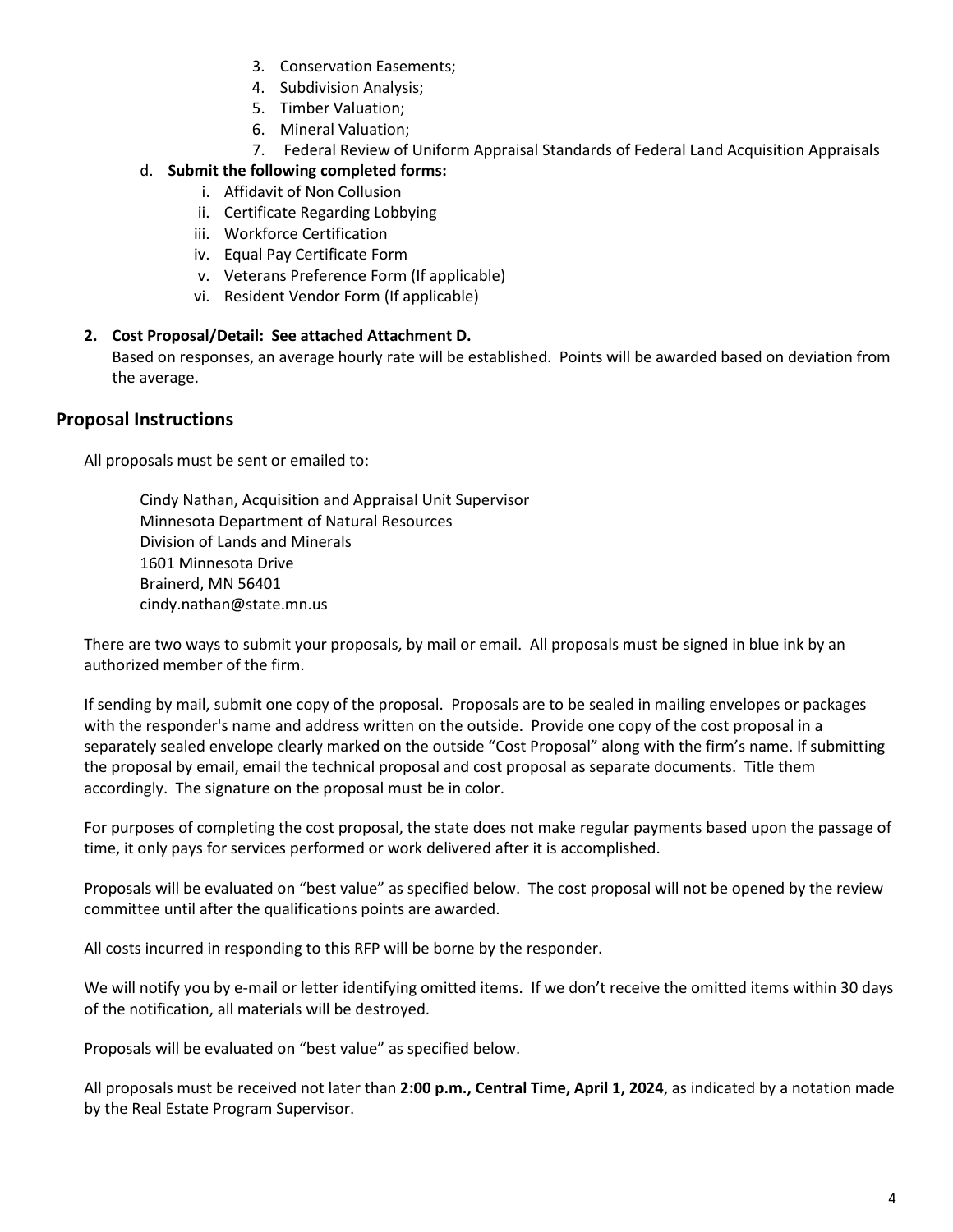- 3. Conservation Easements;
- 4. Subdivision Analysis;
- 5. Timber Valuation;
- 6. Mineral Valuation;
- 7. Federal Review of Uniform Appraisal Standards of Federal Land Acquisition Appraisals

## d. **Submit the following completed forms:**

- i. Affidavit of Non Collusion
- ii. Certificate Regarding Lobbying
- iii. Workforce Certification
- iv. Equal Pay Certificate Form
- v. Veterans Preference Form (If applicable)
- vi. Resident Vendor Form (If applicable)

## **2. Cost Proposal/Detail: See attached Attachment D.**

 Based on responses, an average hourly rate will be established. Points will be awarded based on deviation from the average.

## **Proposal Instructions**

All proposals must be sent or emailed to:

Cindy Nathan, Acquisition and Appraisal Unit Supervisor Minnesota Department of Natural Resources Division of Lands and Minerals 1601 Minnesota Drive Brainerd, MN 56401 cindy.nathan@state.mn.us

 There are two ways to submit your proposals, by mail or email. All proposals must be signed in blue ink by an authorized member of the firm.

 If sending by mail, submit one copy of the proposal. Proposals are to be sealed in mailing envelopes or packages with the responder's name and address written on the outside. Provide one copy of the cost proposal in a separately sealed envelope clearly marked on the outside "Cost Proposal" along with the firm's name. If submitting the proposal by email, email the technical proposal and cost proposal as separate documents. Title them accordingly. The signature on the proposal must be in color.

 For purposes of completing the cost proposal, the state does not make regular payments based upon the passage of time, it only pays for services performed or work delivered after it is accomplished.

Proposals will be evaluated on "best value" as specified below. The cost proposal will not be opened by the review committee until after the qualifications points are awarded.

All costs incurred in responding to this RFP will be borne by the responder.

All costs incurred in responding to this RFP will be borne by the responder.<br>We will notify you by e-mail or letter identifying omitted items. If we don't receive the omitted items within 30 days of the notification, all materials will be destroyed.

Proposals will be evaluated on "best value" as specified below.

Proposals will be evaluated on "best value" as specified below.<br>All proposals must be received not later than **2:00 p.m., Central Time, April 1, 2024**, as indicated by a notation made by the Real Estate Program Supervisor.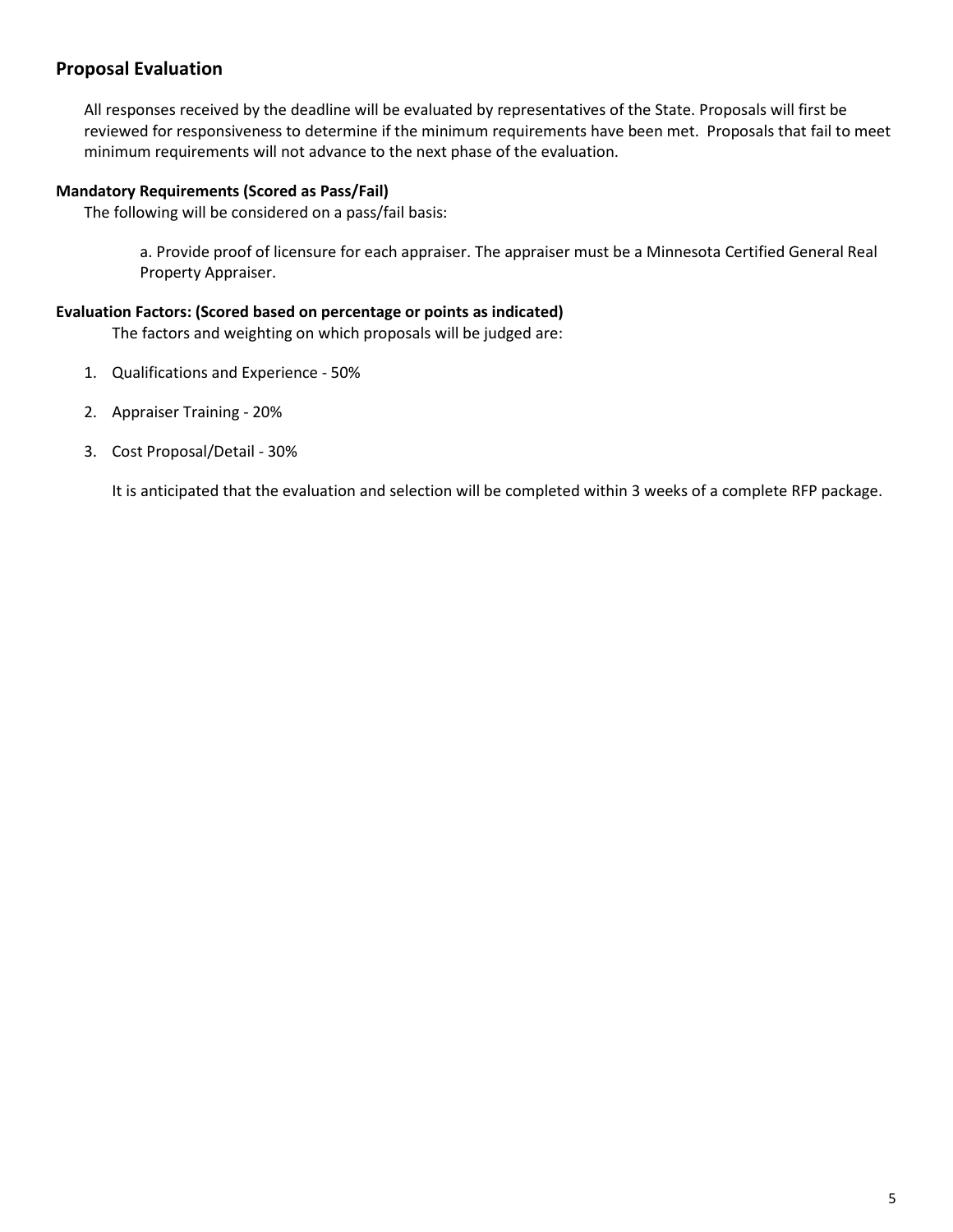## **Proposal Evaluation**

 All responses received by the deadline will be evaluated by representatives of the State. Proposals will first be reviewed for responsiveness to determine if the minimum requirements have been met. Proposals that fail to meet minimum requirements will not advance to the next phase of the evaluation.

## **Mandatory Requirements (Scored as Pass/Fail)**

The following will be considered on a pass/fail basis:

a. Provide proof of licensure for each appraiser. The appraiser must be a Minnesota Certified General Real Property Appraiser.

## **Evaluation Factors: (Scored based on percentage or points as indicated)**

The factors and weighting on which proposals will be judged are:

- 1. Qualifications and Experience 50%
- 2. Appraiser Training 20%
- 3. Cost Proposal/Detail 30%

It is anticipated that the evaluation and selection will be completed within 3 weeks of a complete RFP package.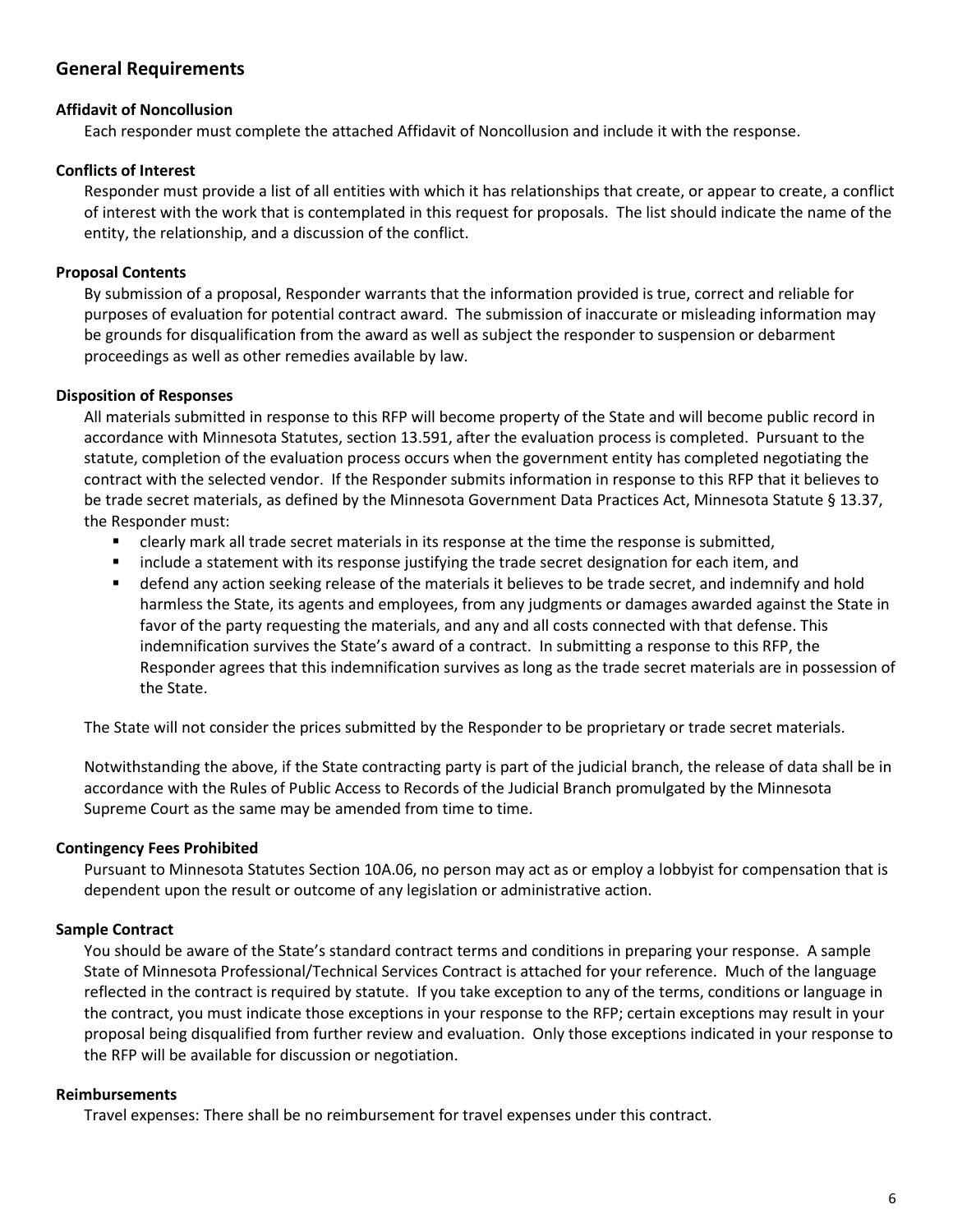## **General Requirements**

## **Affidavit of Noncollusion**

Each responder must complete the attached Affidavit of Noncollusion and include it with the response.

## **Conflicts of Interest**

 Responder must provide a list of all entities with which it has relationships that create, or appear to create, a conflict of interest with the work that is contemplated in this request for proposals. The list should indicate the name of the entity, the relationship, and a discussion of the conflict.

## **Proposal Contents**

 purposes of evaluation for potential contract award. The submission of inaccurate or misleading information may be grounds for disqualification from the award as well as subject the responder to suspension or debarment By submission of a proposal, Responder warrants that the information provided is true, correct and reliable for proceedings as well as other remedies available by law.

## **Disposition of Responses**

 All materials submitted in response to this RFP will become property of the State and will become public record in contract with the selected vendor. If the Responder submits information in response to this RFP that it believes to accordance with Minnesota Statutes, section 13.591, after the evaluation process is completed. Pursuant to the statute, completion of the evaluation process occurs when the government entity has completed negotiating the be trade secret materials, as defined by the Minnesota Government Data Practices Act, Minnesota Statute § 13.37, the Responder must:

- **EXT** clearly mark all trade secret materials in its response at the time the response is submitted,
- **EXED** include a statement with its response justifying the trade secret designation for each item, and
- **defend any action seeking release of the materials it believes to be trade secret, and indemnify and hold**  harmless the State, its agents and employees, from any judgments or damages awarded against the State in favor of the party requesting the materials, and any and all costs connected with that defense. This indemnification survives the State's award of a contract. In submitting a response to this RFP, the Responder agrees that this indemnification survives as long as the trade secret materials are in possession of the State.

The State will not consider the prices submitted by the Responder to be proprietary or trade secret materials.

 accordance with the Rules of Public Access to Records of the Judicial Branch promulgated by the Minnesota Notwithstanding the above, if the State contracting party is part of the judicial branch, the release of data shall be in Supreme Court as the same may be amended from time to time.

## **Contingency Fees Prohibited**

 Pursuant to Minnesota Statutes Section 10A.06, no person may act as or employ a lobbyist for compensation that is dependent upon the result or outcome of any legislation or administrative action.

## **Sample Contract**

 You should be aware of the State's standard contract terms and conditions in preparing your response. A sample State of Minnesota Professional/Technical Services Contract is attached for your reference. Much of the language reflected in the contract is required by statute. If you take exception to any of the terms, conditions or language in proposal being disqualified from further review and evaluation. Only those exceptions indicated in your response to the contract, you must indicate those exceptions in your response to the RFP; certain exceptions may result in your the RFP will be available for discussion or negotiation.

## **Reimbursements**

Travel expenses: There shall be no reimbursement for travel expenses under this contract.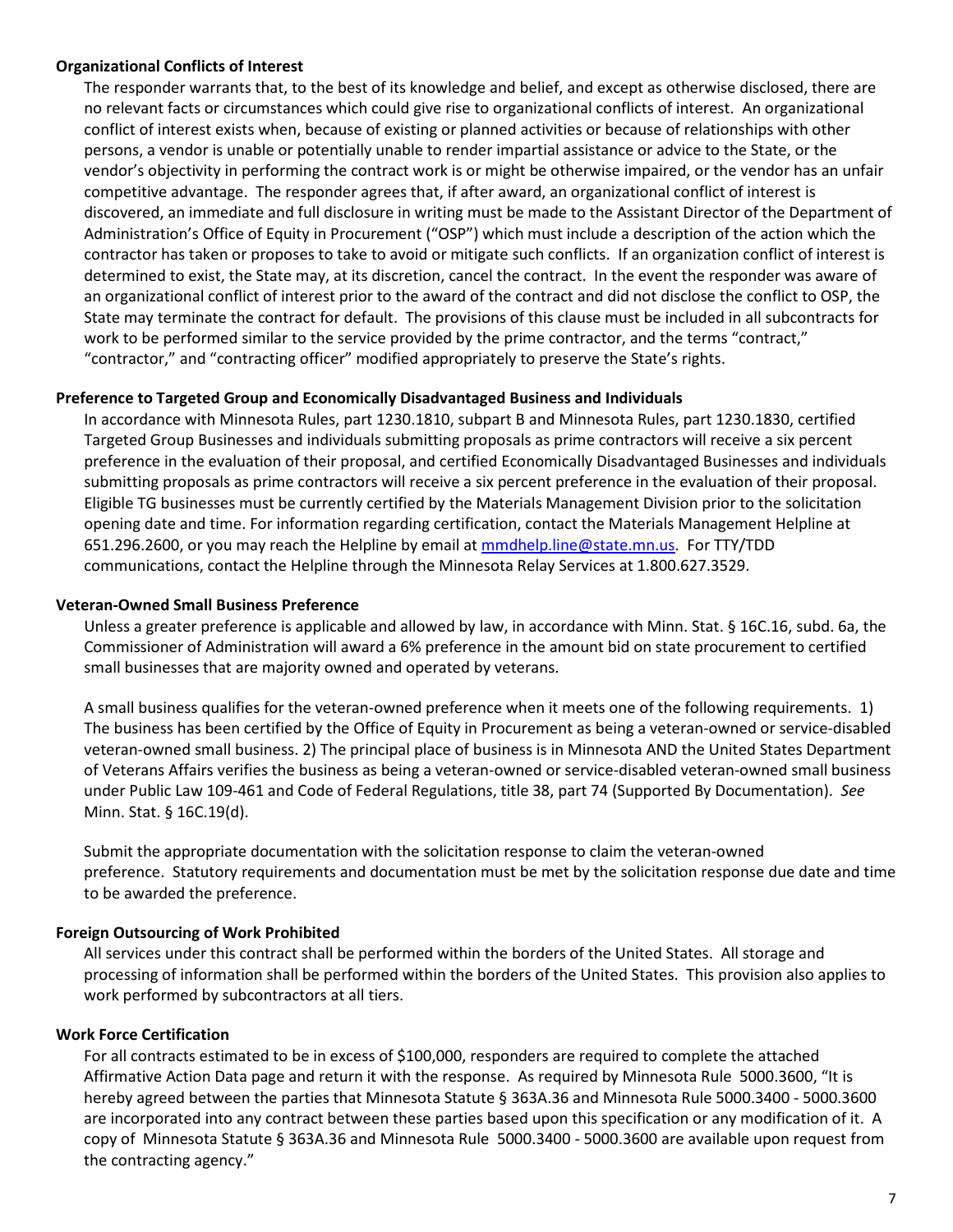#### **Organizational Conflicts of Interest**

 conflict of interest exists when, because of existing or planned activities or because of relationships with other persons, a vendor is unable or potentially unable to render impartial assistance or advice to the State, or the vendor's objectivity in performing the contract work is or might be otherwise impaired, or the vendor has an unfair contractor has taken or proposes to take to avoid or mitigate such conflicts. If an organization conflict of interest is an organizational conflict of interest prior to the award of the contract and did not disclose the conflict to OSP, the State may terminate the contract for default. The provisions of this clause must be included in all subcontracts for The responder warrants that, to the best of its knowledge and belief, and except as otherwise disclosed, there are no relevant facts or circumstances which could give rise to organizational conflicts of interest. An organizational competitive advantage. The responder agrees that, if after award, an organizational conflict of interest is discovered, an immediate and full disclosure in writing must be made to the Assistant Director of the Department of Administration's Office of Equity in Procurement ("OSP") which must include a description of the action which the determined to exist, the State may, at its discretion, cancel the contract. In the event the responder was aware of work to be performed similar to the service provided by the prime contractor, and the terms "contract," "contractor," and "contracting officer" modified appropriately to preserve the State's rights.

#### **Preference to Targeted Group and Economically Disadvantaged Business and Individuals**

 Targeted Group Businesses and individuals submitting proposals as prime contractors will receive a six percent submitting proposals as prime contractors will receive a six percent preference in the evaluation of their proposal. opening date and time. For information regarding certification, contact the Materials Management Helpline at 651.296.2600, or you may reach the Helpline by email at *mmdhelp.line@state.mn.us*. For TTY/TDD In accordance with Minnesota Rules, part 1230.1810, subpart B and Minnesota Rules, part 1230.1830, certified preference in the evaluation of their proposal, and certified Economically Disadvantaged Businesses and individuals Eligible TG businesses must be currently certified by the Materials Management Division prior to the solicitation communications, contact the Helpline through the Minnesota Relay Services at 1.800.627.3529.

#### **Veteran-Owned Small Business Preference**

 Unless a greater preference is applicable and allowed by law, in accordance with Minn. Stat. § 16C.16, subd. 6a, the Commissioner of Administration will award a 6% preference in the amount bid on state procurement to certified small businesses that are majority owned and operated by veterans.

 A small business qualifies for the veteran-owned preference when it meets one of the following requirements. 1) under Public Law 109-461 and Code of Federal Regulations, title 38, part 74 (Supported By Documentation). *See*  The business has been certified by the Office of Equity in Procurement as being a veteran-owned or service-disabled veteran-owned small business. 2) The principal place of business is in Minnesota AND the United States Department of Veterans Affairs verifies the business as being a veteran-owned or service-disabled veteran-owned small business Minn. Stat. § 16C.19(d).

 Submit the appropriate documentation with the solicitation response to claim the veteran-owned preference. Statutory requirements and documentation must be met by the solicitation response due date and time to be awarded the preference.

## **Foreign Outsourcing of Work Prohibited**

 processing of information shall be performed within the borders of the United States. This provision also applies to All services under this contract shall be performed within the borders of the United States. All storage and work performed by subcontractors at all tiers.

## **Work Force Certification**

 For all contracts estimated to be in excess of \$100,000, responders are required to complete the attached Affirmative Action Data page and return it with the response. As required by Minnesota Rule 5000.3600, "It is hereby agreed between the parties that Minnesota Statute § 363A.36 and Minnesota Rule 5000.3400 - 5000.3600 are incorporated into any contract between these parties based upon this specification or any modification of it. A copy of Minnesota Statute § 363A.36 and Minnesota Rule 5000.3400 - 5000.3600 are available upon request from the contracting agency."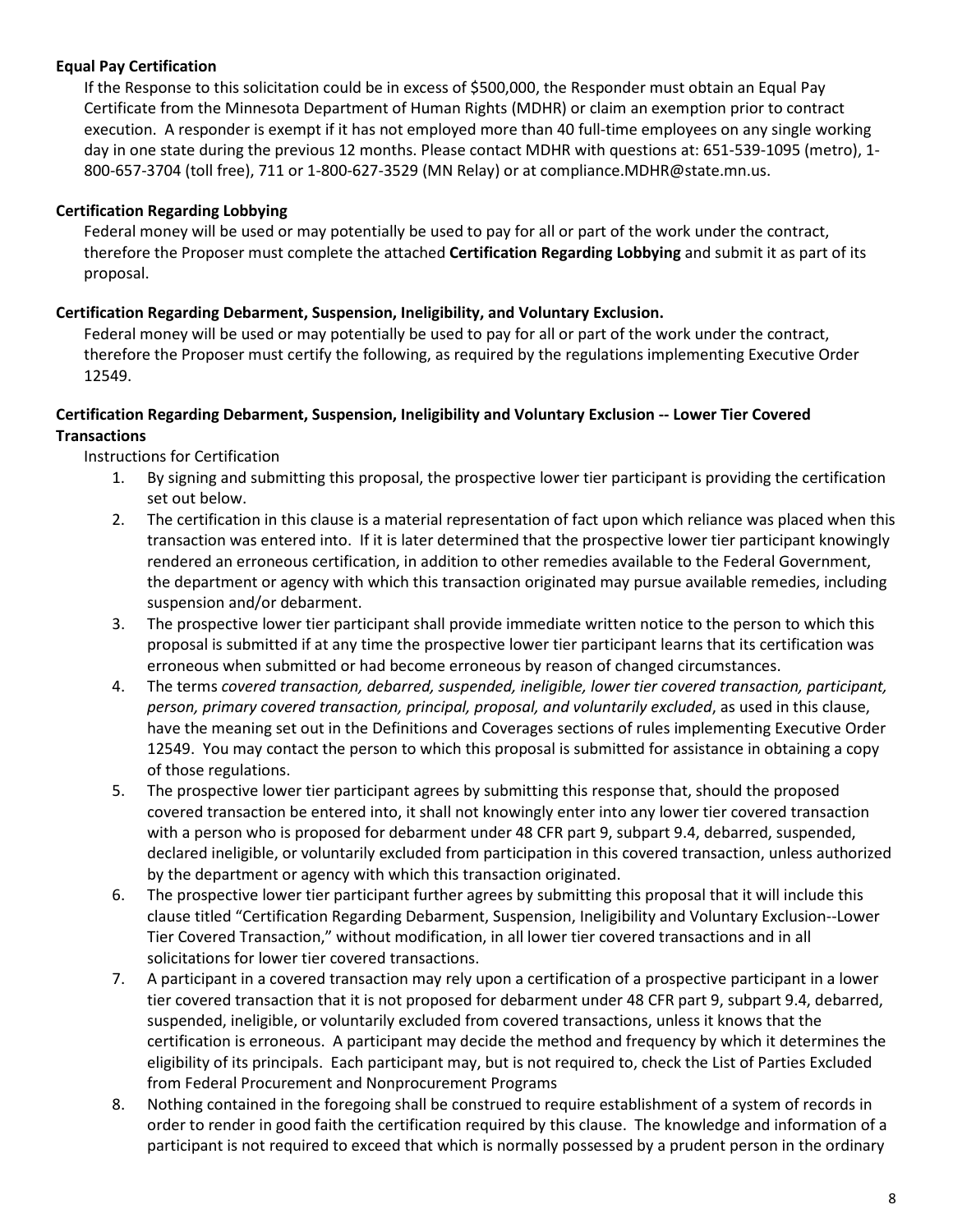## **Equal Pay Certification**

 If the Response to this solicitation could be in excess of \$500,000, the Responder must obtain an Equal Pay Certificate from the Minnesota Department of Human Rights (MDHR) or claim an exemption prior to contract execution. A responder is exempt if it has not employed more than 40 full-time employees on any single working day in one state during the previous 12 months. Please contact MDHR with questions at: 651-539-1095 (metro), 1- 800-657-3704 (toll free), 711 or 1-800-627-3529 (MN Relay) or at [compliance.MDHR@state.mn.us.](mailto:compliance.MDHR@state.mn.us)

## **Certification Regarding Lobbying**

 therefore the Proposer must complete the attached **Certification Regarding Lobbying** and submit it as part of its Federal money will be used or may potentially be used to pay for all or part of the work under the contract, proposal.

## **Certification Regarding Debarment, Suspension, Ineligibility, and Voluntary Exclusion.**

 therefore the Proposer must certify the following, as required by the regulations implementing Executive Order Federal money will be used or may potentially be used to pay for all or part of the work under the contract, 12549.

## **Certification Regarding Debarment, Suspension, Ineligibility and Voluntary Exclusion -- Lower Tier Covered Transactions**

Instructions for Certification

- 1. By signing and submitting this proposal, the prospective lower tier participant is providing the certification set out below.
- 2. The certification in this clause is a material representation of fact upon which reliance was placed when this rendered an erroneous certification, in addition to other remedies available to the Federal Government, the department or agency with which this transaction originated may pursue available remedies, including transaction was entered into. If it is later determined that the prospective lower tier participant knowingly suspension and/or debarment.
- proposal is submitted if at any time the prospective lower tier participant learns that its certification was erroneous when submitted or had become erroneous by reason of changed circumstances. 3. The prospective lower tier participant shall provide immediate written notice to the person to which this
- *person, primary covered transaction, principal, proposal, and voluntarily excluded*, as used in this clause, 4. The terms *covered transaction, debarred, suspended, ineligible, lower tier covered transaction, participant,*  have the meaning set out in the Definitions and Coverages sections of rules implementing Executive Order 12549. You may contact the person to which this proposal is submitted for assistance in obtaining a copy of those regulations.
- 5. The prospective lower tier participant agrees by submitting this response that, should the proposed by the department or agency with which this transaction originated. covered transaction be entered into, it shall not knowingly enter into any lower tier covered transaction with a person who is proposed for debarment under 48 CFR part 9, subpart 9.4, debarred, suspended, declared ineligible, or voluntarily excluded from participation in this covered transaction, unless authorized
- 6. The prospective lower tier participant further agrees by submitting this proposal that it will include this clause titled "Certification Regarding Debarment, Suspension, Ineligibility and Voluntary Exclusion--Lower Tier Covered Transaction," without modification, in all lower tier covered transactions and in all solicitations for lower tier covered transactions.
- suspended, ineligible, or voluntarily excluded from covered transactions, unless it knows that the certification is erroneous. A participant may decide the method and frequency by which it determines the eligibility of its principals. Each participant may, but is not required to, check the List of Parties Excluded 7. A participant in a covered transaction may rely upon a certification of a prospective participant in a lower tier covered transaction that it is not proposed for debarment under 48 CFR part 9, subpart 9.4, debarred, from Federal Procurement and Nonprocurement Programs
- order to render in good faith the certification required by this clause. The knowledge and information of a participant is not required to exceed that which is normally possessed by a prudent person in the ordinary 8. Nothing contained in the foregoing shall be construed to require establishment of a system of records in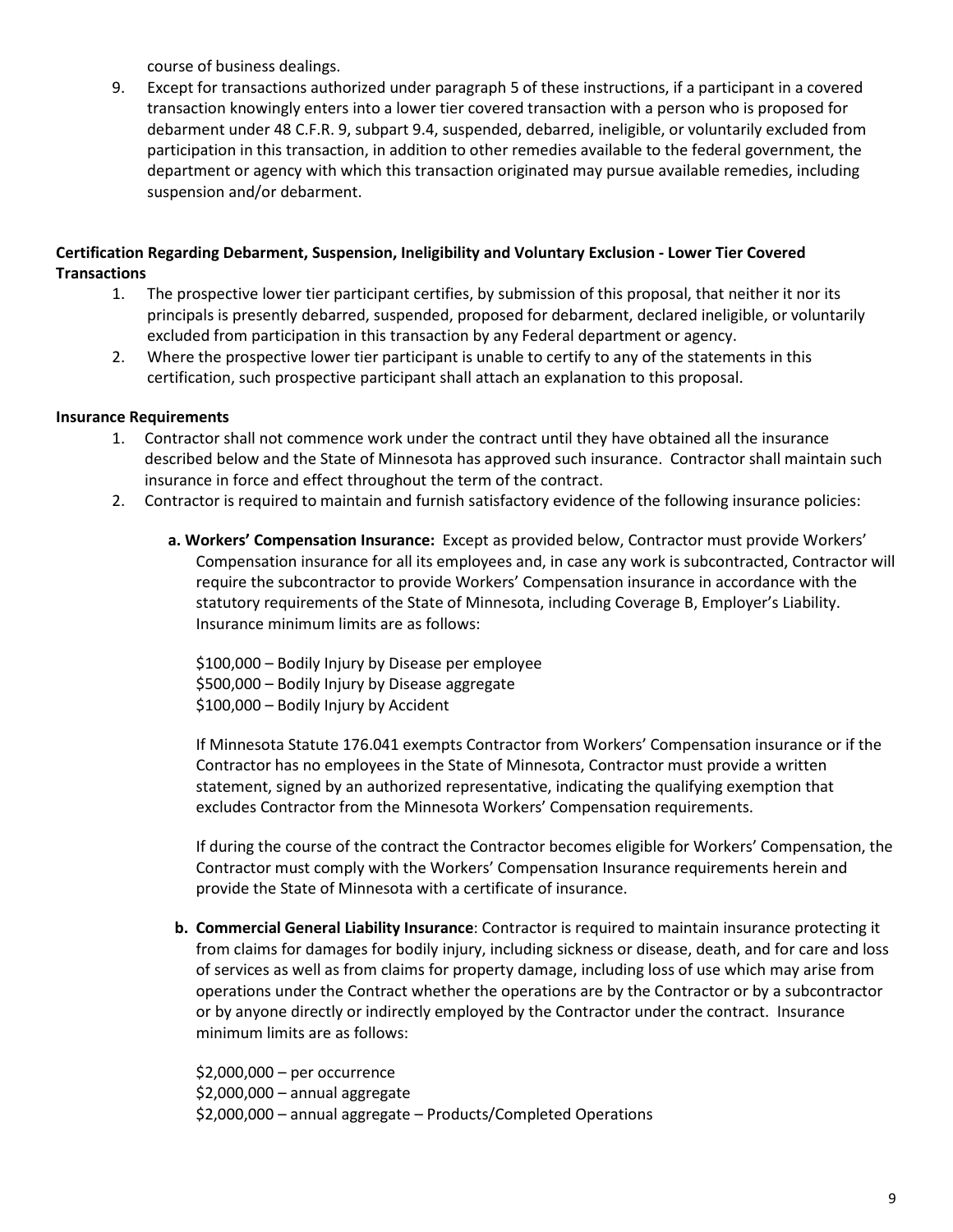course of business dealings.

 transaction knowingly enters into a lower tier covered transaction with a person who is proposed for department or agency with which this transaction originated may pursue available remedies, including 9. Except for transactions authorized under paragraph 5 of these instructions, if a participant in a covered debarment under 48 C.F.R. 9, subpart 9.4, suspended, debarred, ineligible, or voluntarily excluded from participation in this transaction, in addition to other remedies available to the federal government, the suspension and/or debarment.

## **Certification Regarding Debarment, Suspension, Ineligibility and Voluntary Exclusion - Lower Tier Covered Transactions**

- 1. The prospective lower tier participant certifies, by submission of this proposal, that neither it nor its principals is presently debarred, suspended, proposed for debarment, declared ineligible, or voluntarily excluded from participation in this transaction by any Federal department or agency.
- 2. Where the prospective lower tier participant is unable to certify to any of the statements in this certification, such prospective participant shall attach an explanation to this proposal.

## **Insurance Requirements**

- described below and the State of Minnesota has approved such insurance. Contractor shall maintain such 1. Contractor shall not commence work under the contract until they have obtained all the insurance insurance in force and effect throughout the term of the contract.
- 2. Contractor is required to maintain and furnish satisfactory evidence of the following insurance policies:
	- a. Workers' Compensation Insurance: Except as provided below, Contractor must provide Workers' Compensation insurance for all its employees and, in case any work is subcontracted, Contractor will statutory requirements of the State of Minnesota, including Coverage B, Employer's Liability.<br>Insurance minimum limits are as follows: require the subcontractor to provide Workers' Compensation insurance in accordance with the

\$100,000 – Bodily Injury by Disease per employee \$500,000 – Bodily Injury by Disease aggregate \$100,000 – Bodily Injury by Accident

If Minnesota Statute 176.041 exempts Contractor from Workers' Compensation insurance or if the Contractor has no employees in the State of Minnesota, Contractor must provide a written statement, signed by an authorized representative, indicating the qualifying exemption that excludes Contractor from the Minnesota Workers' Compensation requirements.

 If during the course of the contract the Contractor becomes eligible for Workers' Compensation, the Contractor must comply with the Workers' Compensation Insurance requirements herein and provide the State of Minnesota with a certificate of insurance.

 **b. Commercial General Liability Insurance**: Contractor is required to maintain insurance protecting it from claims for damages for bodily injury, including sickness or disease, death, and for care and loss of services as well as from claims for property damage, including loss of use which may arise from operations under the Contract whether the operations are by the Contractor or by a subcontractor or by anyone directly or indirectly employed by the Contractor under the contract. Insurance minimum limits are as follows:

\$2,000,000 – per occurrence \$2,000,000 – annual aggregate \$2,000,000 – annual aggregate – Products/Completed Operations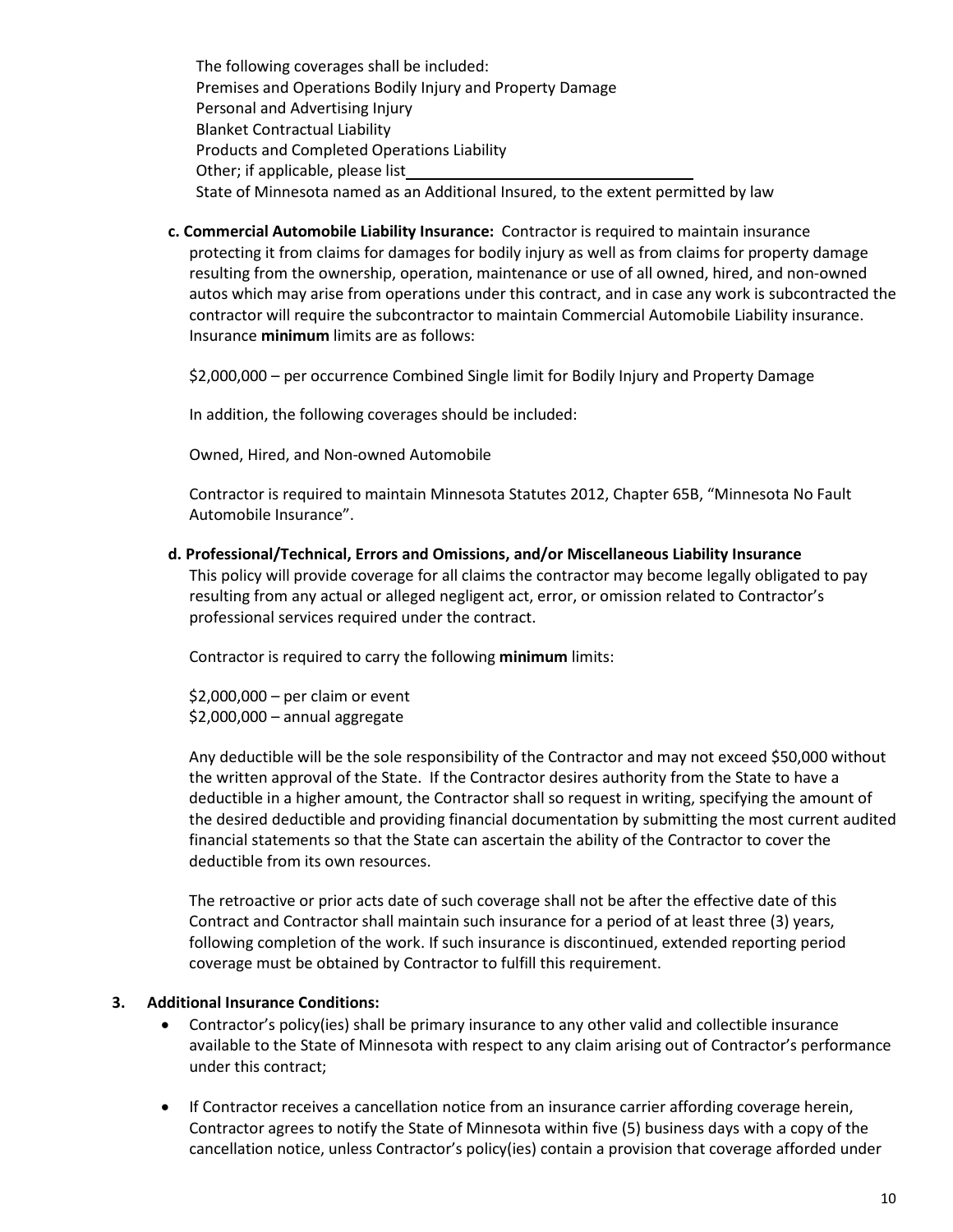Other; if applicable, please list The following coverages shall be included: Premises and Operations Bodily Injury and Property Damage Personal and Advertising Injury Blanket Contractual Liability Products and Completed Operations Liability State of Minnesota named as an Additional Insured, to the extent permitted by law

 **c. Commercial Automobile Liability Insurance:** Contractor is required to maintain insurance resulting from the ownership, operation, maintenance or use of all owned, hired, and non-owned autos which may arise from operations under this contract, and in case any work is subcontracted the contractor will require the subcontractor to maintain Commercial Automobile Liability insurance.<br>Insurance **minimum** limits are as follows: Insurance minimum limits are as follows: protecting it from claims for damages for bodily injury as well as from claims for property damage

\$2,000,000 – per occurrence Combined Single limit for Bodily Injury and Property Damage

In addition, the following coverages should be included:

Owned, Hired, and Non-owned Automobile

Contractor is required to maintain Minnesota Statutes 2012, Chapter 65B, "Minnesota No Fault Automobile Insurance".

 This policy will provide coverage for all claims the contractor may become legally obligated to pay **d. Professional/Technical, Errors and Omissions, and/or Miscellaneous Liability Insurance** 

 resulting from any actual or alleged negligent act, error, or omission related to Contractor's professional services required under the contract.

Contractor is required to carry the following **minimum** limits:

 \$2,000,000 – per claim or event \$2,000,000 – annual aggregate

 the written approval of the State. If the Contractor desires authority from the State to have a the desired deductible and providing financial documentation by submitting the most current audited Any deductible will be the sole responsibility of the Contractor and may not exceed \$50,000 without deductible in a higher amount, the Contractor shall so request in writing, specifying the amount of financial statements so that the State can ascertain the ability of the Contractor to cover the deductible from its own resources.

 The retroactive or prior acts date of such coverage shall not be after the effective date of this following completion of the work. If such insurance is discontinued, extended reporting period Contract and Contractor shall maintain such insurance for a period of at least three (3) years, coverage must be obtained by Contractor to fulfill this requirement.

#### **3. Additional Insurance Conditions:**

- available to the State of Minnesota with respect to any claim arising out of Contractor's performance • Contractor's policy(ies) shall be primary insurance to any other valid and collectible insurance under this contract;
- Contractor agrees to notify the State of Minnesota within five (5) business days with a copy of the • If Contractor receives a cancellation notice from an insurance carrier affording coverage herein, cancellation notice, unless Contractor's policy(ies) contain a provision that coverage afforded under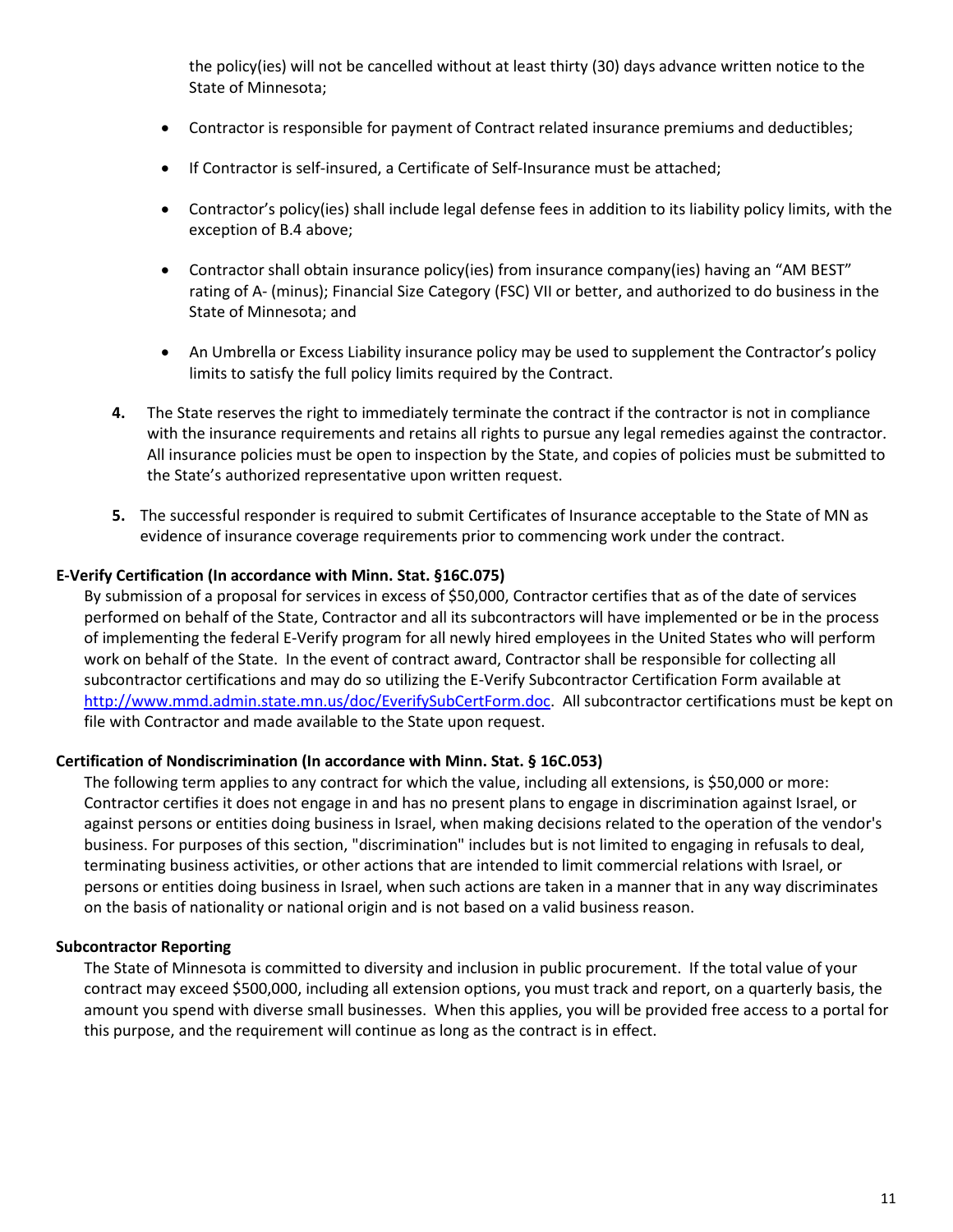the policy(ies) will not be cancelled without at least thirty (30) days advance written notice to the State of Minnesota;

- Contractor is responsible for payment of Contract related insurance premiums and deductibles;
- If Contractor is self-insured, a Certificate of Self-Insurance must be attached;
- • Contractor's policy(ies) shall include legal defense fees in addition to its liability policy limits, with the exception of B.4 above;
- rating of A- (minus); Financial Size Category (FSC) VII or better, and authorized to do business in the • Contractor shall obtain insurance policy(ies) from insurance company(ies) having an "AM BEST" State of Minnesota; and
- limits to satisfy the full policy limits required by the Contract. • An Umbrella or Excess Liability insurance policy may be used to supplement the Contractor's policy
- with the insurance requirements and retains all rights to pursue any legal remedies against the contractor. with the insurance requirements and retains all rights to pursue any legal remedies against the contractor.<br>All insurance policies must be open to inspection by the State, and copies of policies must be submitted to **4.** The State reserves the right to immediately terminate the contract if the contractor is not in compliance the State's authorized representative upon written request.
- **5.** The successful responder is required to submit Certificates of Insurance acceptable to the State of MN as evidence of insurance coverage requirements prior to commencing work under the contract.

## **E-Verify Certification (In accordance with Minn. Stat. §16C.075)**

 By submission of a proposal for services in excess of \$50,000, Contractor certifies that as of the date of services performed on behalf of the State, Contractor and all its subcontractors will have implemented or be in the process work on behalf of the State. In the event of contract award, Contractor shall be responsible for collecting all subcontractor certifications and may do so utilizing the E-Verify Subcontractor Certification Form available at http://www.mmd.admin.state.mn.us/doc/EverifySubCertForm.doc</u>. All subcontractor certifications must be kept on of implementing the federal E-Verify program for all newly hired employees in the United States who will perform file with Contractor and made available to the State upon request.

## **Certification of Nondiscrimination (In accordance with Minn. Stat. § 16C.053)**

 The following term applies to any contract for which the value, including all extensions, is \$50,000 or more: against persons or entities doing business in Israel, when making decisions related to the operation of the vendor's business. For purposes of this section, "discrimination" includes but is not limited to engaging in refusals to deal, terminating business activities, or other actions that are intended to limit commercial relations with Israel, or Contractor certifies it does not engage in and has no present plans to engage in discrimination against Israel, or persons or entities doing business in Israel, when such actions are taken in a manner that in any way discriminates on the basis of nationality or national origin and is not based on a valid business reason.

## **Subcontractor Reporting**

 The State of Minnesota is committed to diversity and inclusion in public procurement. If the total value of your contract may exceed \$500,000, including all extension options, you must track and report, on a quarterly basis, the amount you spend with diverse small businesses. When this applies, you will be provided free access to a portal for this purpose, and the requirement will continue as long as the contract is in effect.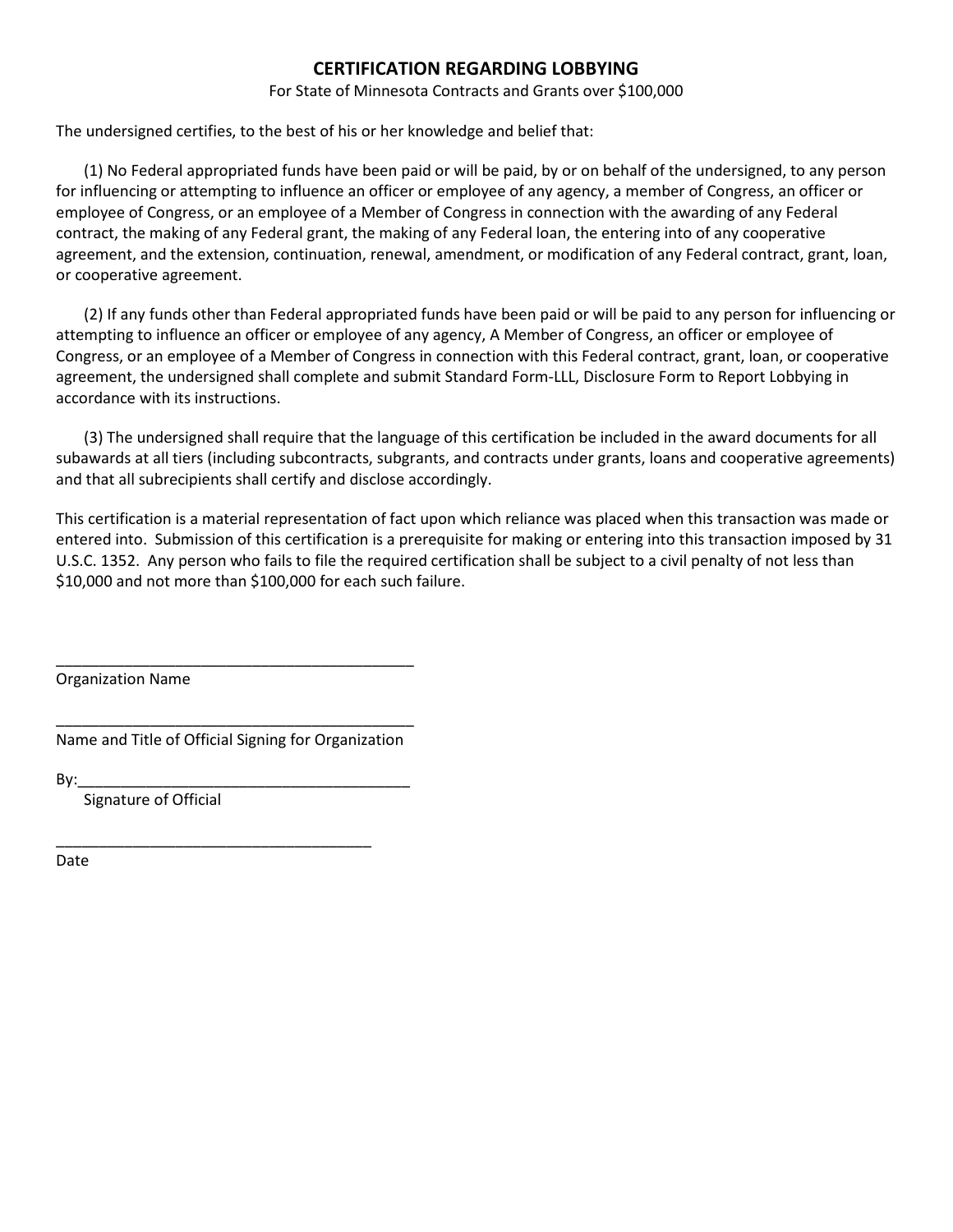## **CERTIFICATION REGARDING LOBBYING**

For State of Minnesota Contracts and Grants over \$100,000

The undersigned certifies, to the best of his or her knowledge and belief that:

 (1) No Federal appropriated funds have been paid or will be paid, by or on behalf of the undersigned, to any person for influencing or attempting to influence an officer or employee of any agency, a member of Congress, an officer or contract, the making of any Federal grant, the making of any Federal loan, the entering into of any cooperative agreement, and the extension, continuation, renewal, amendment, or modification of any Federal contract, grant, loan, employee of Congress, or an employee of a Member of Congress in connection with the awarding of any Federal or cooperative agreement.

 (2) If any funds other than Federal appropriated funds have been paid or will be paid to any person for influencing or Congress, or an employee of a Member of Congress in connection with this Federal contract, grant, loan, or cooperative agreement, the undersigned shall complete and submit Standard Form-LLL, Disclosure Form to Report Lobbying in attempting to influence an officer or employee of any agency, A Member of Congress, an officer or employee of accordance with its instructions.

 (3) The undersigned shall require that the language of this certification be included in the award documents for all subawards at all tiers (including subcontracts, subgrants, and contracts under grants, loans and cooperative agreements) and that all subrecipients shall certify and disclose accordingly.

This certification is a material representation of fact upon which reliance was placed when this transaction was made or entered into. Submission of this certification is a prerequisite for making or entering into this transaction imposed by 31 U.S.C. 1352. Any person who fails to file the required certification shall be subject to a civil penalty of not less than \$10,000 and not more than \$100,000 for each such failure.

Organization Name

\_\_\_\_\_\_\_\_\_\_\_\_\_\_\_\_\_\_\_\_\_\_\_\_\_\_\_\_\_\_\_\_\_\_\_\_\_\_\_\_\_\_ Name and Title of Official Signing for Organization

\_\_\_\_\_\_\_\_\_\_\_\_\_\_\_\_\_\_\_\_\_\_\_\_\_\_\_\_\_\_\_\_\_\_\_\_\_

\_\_\_\_\_\_\_\_\_\_\_\_\_\_\_\_\_\_\_\_\_\_\_\_\_\_\_\_\_\_\_\_\_\_\_\_\_\_\_\_\_\_

By:\_\_\_\_\_\_\_\_\_\_\_\_\_\_\_\_\_\_\_\_\_\_\_\_\_\_\_\_\_\_\_\_\_\_\_\_\_\_\_

Signature of Official

Date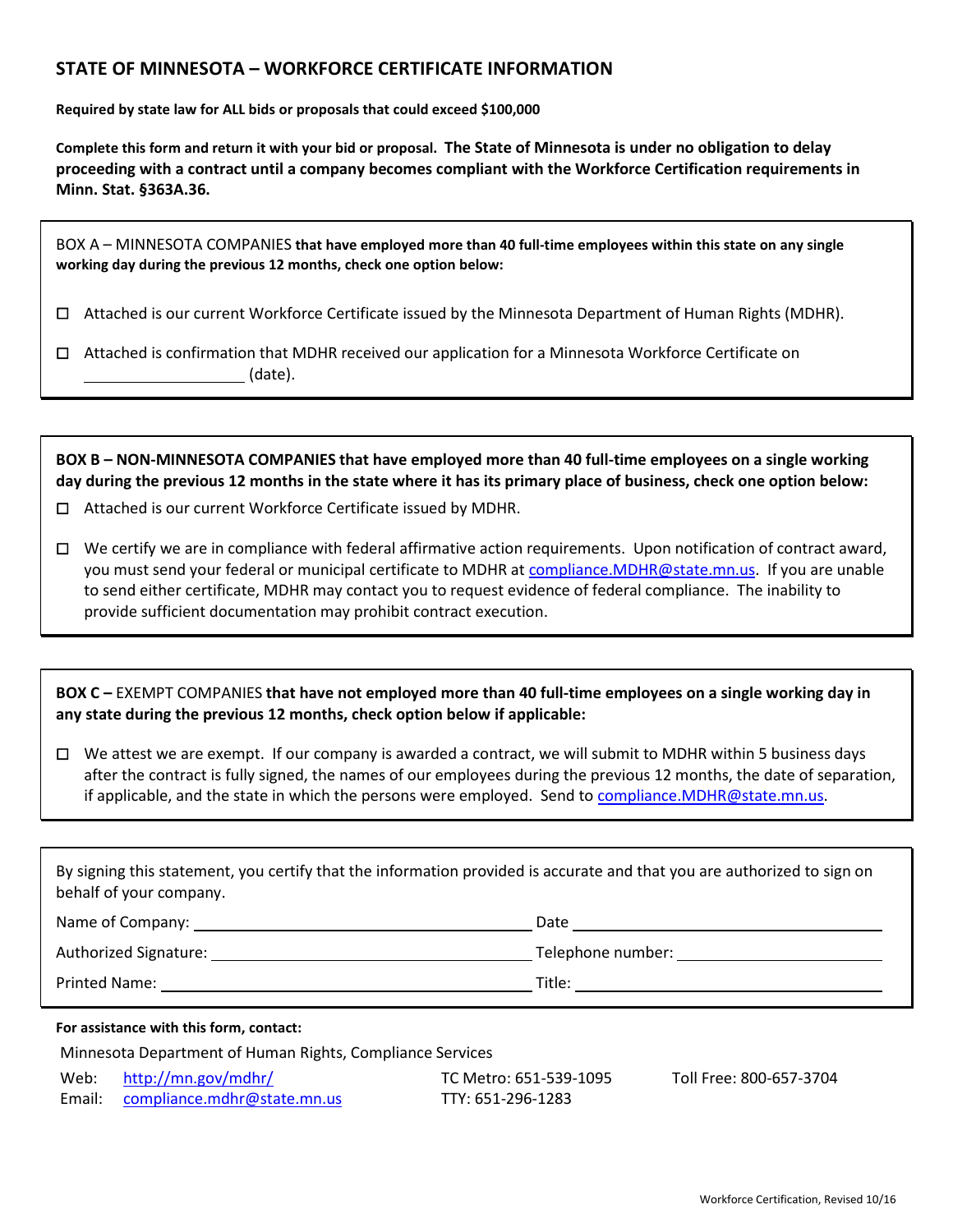## **STATE OF MINNESOTA – WORKFORCE CERTIFICATE INFORMATION**

**Required by state law for ALL bids or proposals that could exceed \$100,000** 

 **Complete this form and return it with your bid or proposal. The State of Minnesota is under no obligation to delay proceeding with a contract until a company becomes compliant with the Workforce Certification requirements in Minn. Stat. §363A.36.** 

BOX A – MINNESOTA COMPANIES **that have employed more than 40 full-time employees within this state on any single working day during the previous 12 months, check one option below:** 

 ☐ Attached is our current Workforce Certificate issued by the Minnesota Department of Human Rights (MDHR).

☐ Attached is confirmation that MDHR received our application for a Minnesota Workforce Certificate on (date).

**BOX B – NON-MINNESOTA COMPANIES that have employed more than 40 full-time employees on a single working day during the previous 12 months in the state where it has its primary place of business, check one option below:** 

☐ Attached is our current Workforce Certificate issued by MDHR.

you must send your federal or municipal certificate to MDHR at *compliance.MDHR@state.mn.us*. If you are unable to send either certificate, MDHR may contact you to request evidence of federal compliance. The inability to  $\Box$  We certify we are in compliance with federal affirmative action requirements. Upon notification of contract award, provide sufficient documentation may prohibit contract execution.

 **BOX C –** EXEMPT COMPANIES **that have not employed more than 40 full-time employees on a single working day in any state during the previous 12 months, check option below if applicable:** 

 ☐ We attest we are exempt. If our company is awarded a contract, we will submit to MDHR within 5 business days after the contract is fully signed, the names of our employees during the previous 12 months, the date of separation, if applicable, and the state in which the persons were employed. Send to [compliance.MDHR@state.mn.us.](mailto:compliance.MDHR@state.mn.us)

| By signing this statement, you certify that the information provided is accurate and that you are authorized to sign on<br>behalf of your company. |                                     |  |  |
|----------------------------------------------------------------------------------------------------------------------------------------------------|-------------------------------------|--|--|
| Name of Company: Name of Company:                                                                                                                  | Date                                |  |  |
| Authorized Signature: Authorized Signature:                                                                                                        | Telephone number: Telephone number: |  |  |
| Printed Name:                                                                                                                                      | Title:                              |  |  |

#### **For assistance with this form, contact:**

Minnesota Department of Human Rights, Compliance Services

| Web: | http://mn.gov/mdhr/                | TC Metro: 651-539-1095 | Toll Free: 800-657-3704 |
|------|------------------------------------|------------------------|-------------------------|
|      | Email: compliance.mdhr@state.mn.us | TTY: 651-296-1283      |                         |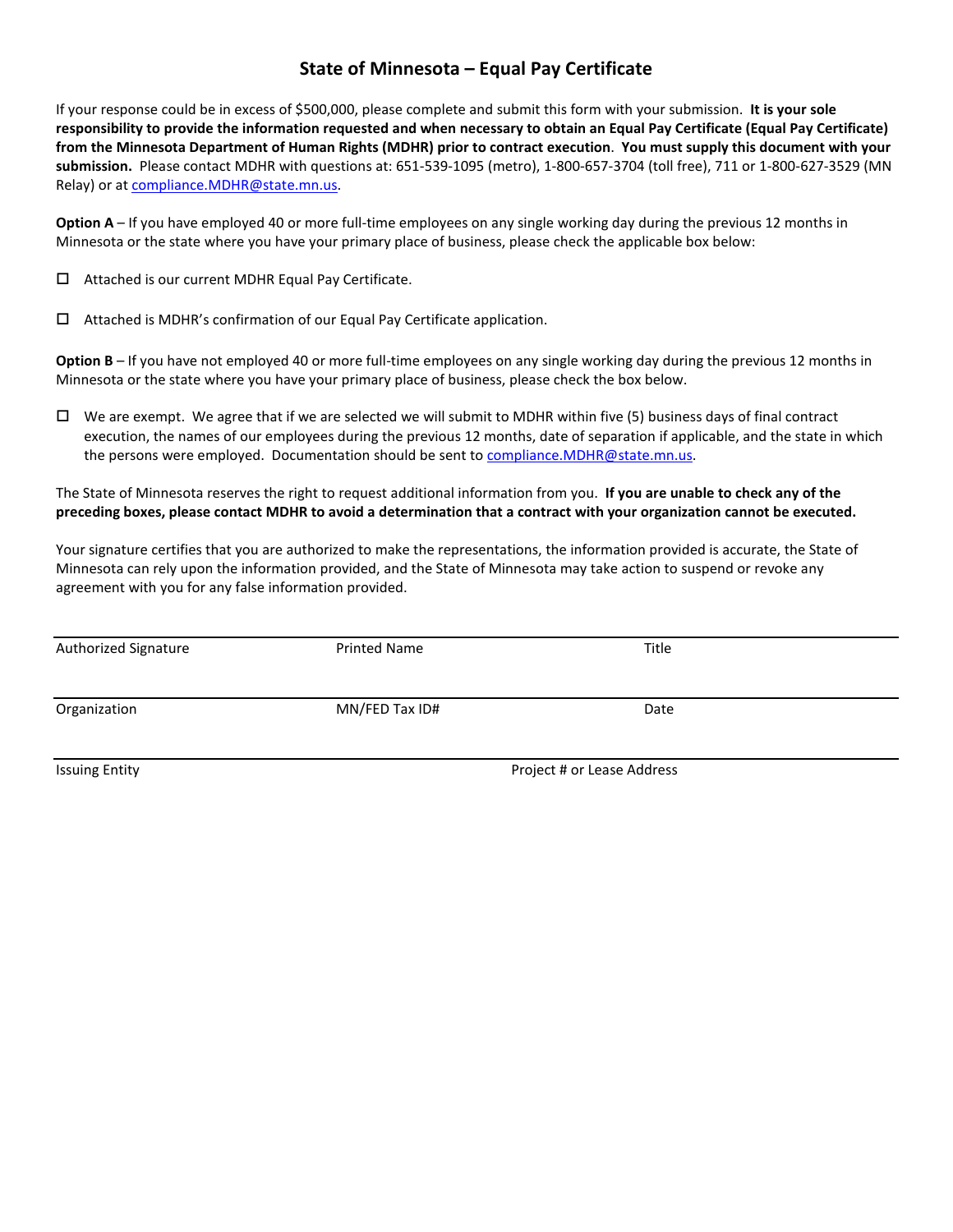## **State of Minnesota – Equal Pay Certificate**

 If your response could be in excess of \$500,000, please complete and submit this form with your submission. **It is your sole submission.** Please contact MDHR with questions at: 651-539-1095 (metro), 1-800-657-3704 (toll free), 711 or 1-800-627-3529 (MN **responsibility to provide the information requested and when necessary to obtain an Equal Pay Certificate (Equal Pay Certificate) from the Minnesota Department of Human Rights (MDHR) prior to contract execution**. **You must supply this document with your**  Relay) or a[t compliance.MDHR@state.mn.us.](mailto:compliance.MDHR@state.mn.us)

 **Option A** – If you have employed 40 or more full-time employees on any single working day during the previous 12 months in Minnesota or the state where you have your primary place of business, please check the applicable box below:

Attached is our current MDHR Equal Pay Certificate.

 $\Box$  Attached is MDHR's confirmation of our Equal Pay Certificate application.

 **Option B** – If you have not employed 40 or more full-time employees on any single working day during the previous 12 months in Minnesota or the state where you have your primary place of business, please check the box below.

 $\Box$  We are exempt. We agree that if we are selected we will submit to MDHR within five (5) business days of final contract execution, the names of our employees during the previous 12 months, date of separation if applicable, and the state in which the persons were employed. Documentation should be sent to [compliance.MDHR@state.mn.us.](mailto:compliance.MDHR@state.mn.us)

 The State of Minnesota reserves the right to request additional information from you. **If you are unable to check any of the preceding boxes, please contact MDHR to avoid a determination that a contract with your organization cannot be executed.** 

Your signature certifies that you are authorized to make the representations, the information provided is accurate, the State of Minnesota can rely upon the information provided, and the State of Minnesota may take action to suspend or revoke any agreement with you for any false information provided.

| Authorized Signature  | <b>Printed Name</b> | Title                      |  |
|-----------------------|---------------------|----------------------------|--|
| Organization          | MN/FED Tax ID#      | Date                       |  |
| <b>Issuing Entity</b> |                     | Project # or Lease Address |  |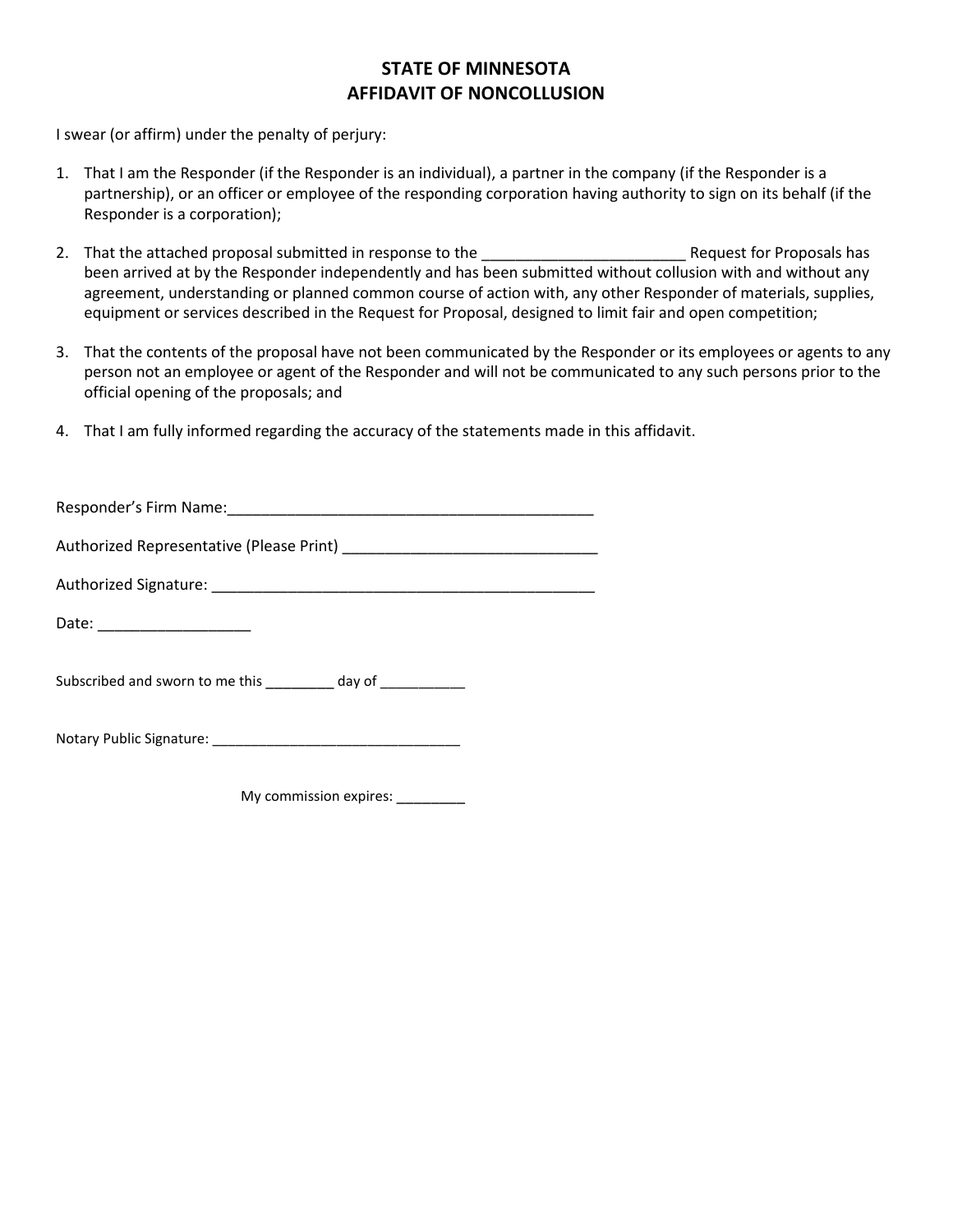## **STATE OF MINNESOTA AFFIDAVIT OF NONCOLLUSION**

I swear (or affirm) under the penalty of perjury:

- partnership), or an officer or employee of the responding corporation having authority to sign on its behalf (if the 1. That I am the Responder (if the Responder is an individual), a partner in the company (if the Responder is a Responder is a corporation);
- equipment or services described in the Request for Proposal, designed to limit fair and open competition; 2. That the attached proposal submitted in response to the \_\_\_\_\_\_\_\_\_\_\_\_\_\_\_\_\_\_\_\_\_\_ Request for Proposals has been arrived at by the Responder independently and has been submitted without collusion with and without any agreement, understanding or planned common course of action with, any other Responder of materials, supplies,
- person not an employee or agent of the Responder and will not be communicated to any such persons prior to the 3. That the contents of the proposal have not been communicated by the Responder or its employees or agents to any official opening of the proposals; and
- 4. That I am fully informed regarding the accuracy of the statements made in this affidavit.

| Responder's Firm Name:                   |
|------------------------------------------|
| Authorized Representative (Please Print) |
|                                          |
| Date:                                    |

Subscribed and sworn to me this  $\frac{1}{2}$  day of  $\frac{1}{2}$ 

| Notary Public Signature: |
|--------------------------|
|                          |

My commission expires: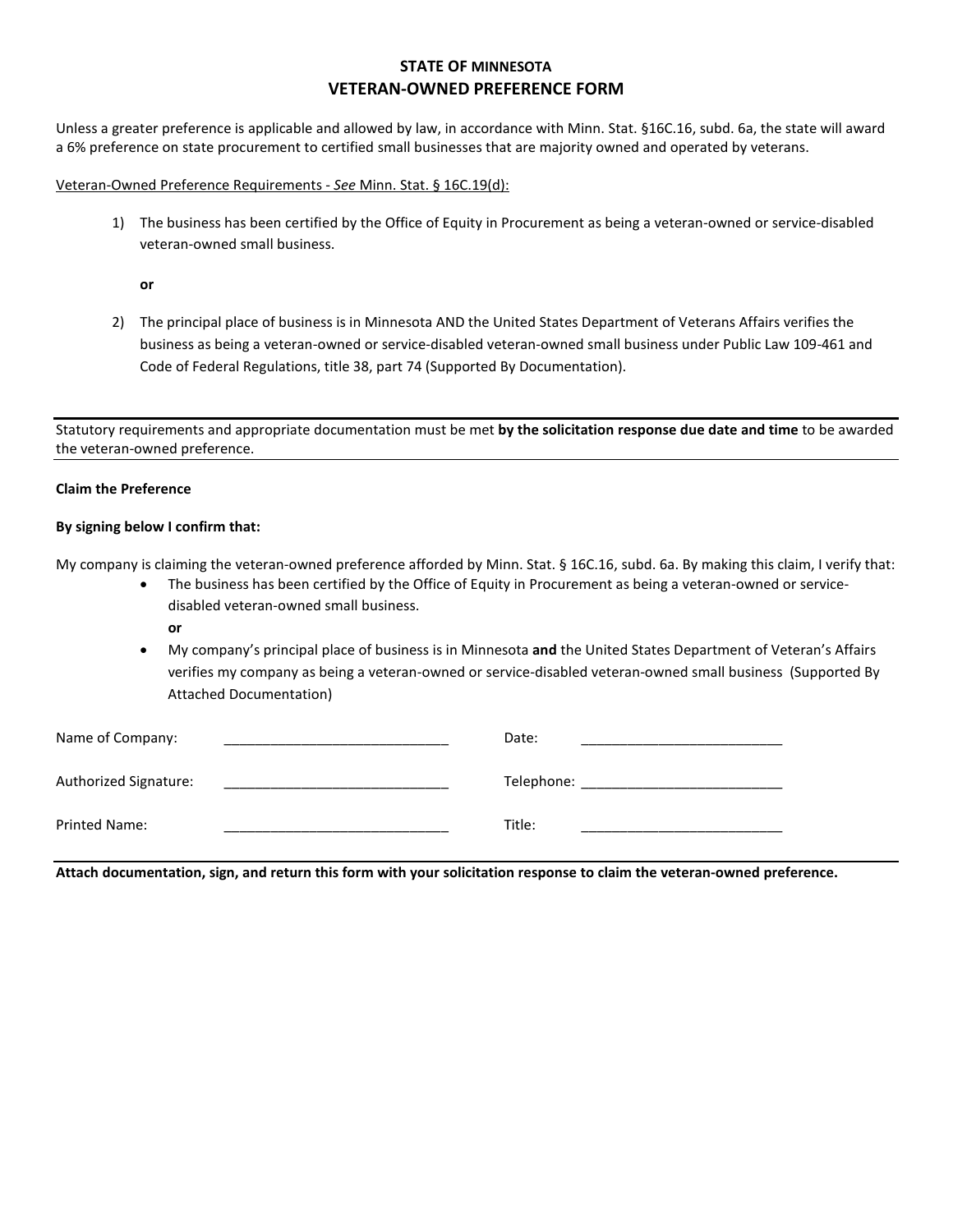## **STATE OF MINNESOTA VETERAN-OWNED PREFERENCE FORM**

Unless a greater preference is applicable and allowed by law, in accordance with Minn. Stat. §16C.16, subd. 6a, the state will award a 6% preference on state procurement to certified small businesses that are majority owned and operated by veterans.

#### Veteran-Owned Preference Requirements - *See* Minn. Stat. § 16C.19(d):

1) The business has been certified by the Office of Equity in Procurement as being a veteran-owned or service-disabled veteran-owned small business.

**or** 

2) The principal place of business is in Minnesota AND the United States Department of Veterans Affairs verifies the business as being a veteran-owned or service-disabled veteran-owned small business under Public Law 109-461 and Code of Federal Regulations, title 38, part 74 (Supported By Documentation).

Statutory requirements and appropriate documentation must be met **by the solicitation response due date and time** to be awarded the veteran-owned preference.

#### **Claim the Preference**

#### **By signing below I confirm that:**

My company is claiming the veteran-owned preference afforded by Minn. Stat. § 16C.16, subd. 6a. By making this claim, I verify that:

- The business has been certified by the Office of Equity in Procurement as being a veteran-owned or servicedisabled veteran-owned small business.
	- **or**
	- • My company's principal place of business is in Minnesota **and** the United States Department of Veteran's Affairs verifies my company as being a veteran-owned or service-disabled veteran-owned small business (Supported By Attached Documentation)

| Name of Company:      | Date:  |
|-----------------------|--------|
| Authorized Signature: |        |
| Printed Name:         | Title: |

**Attach documentation, sign, and return this form with your solicitation response to claim the veteran-owned preference.**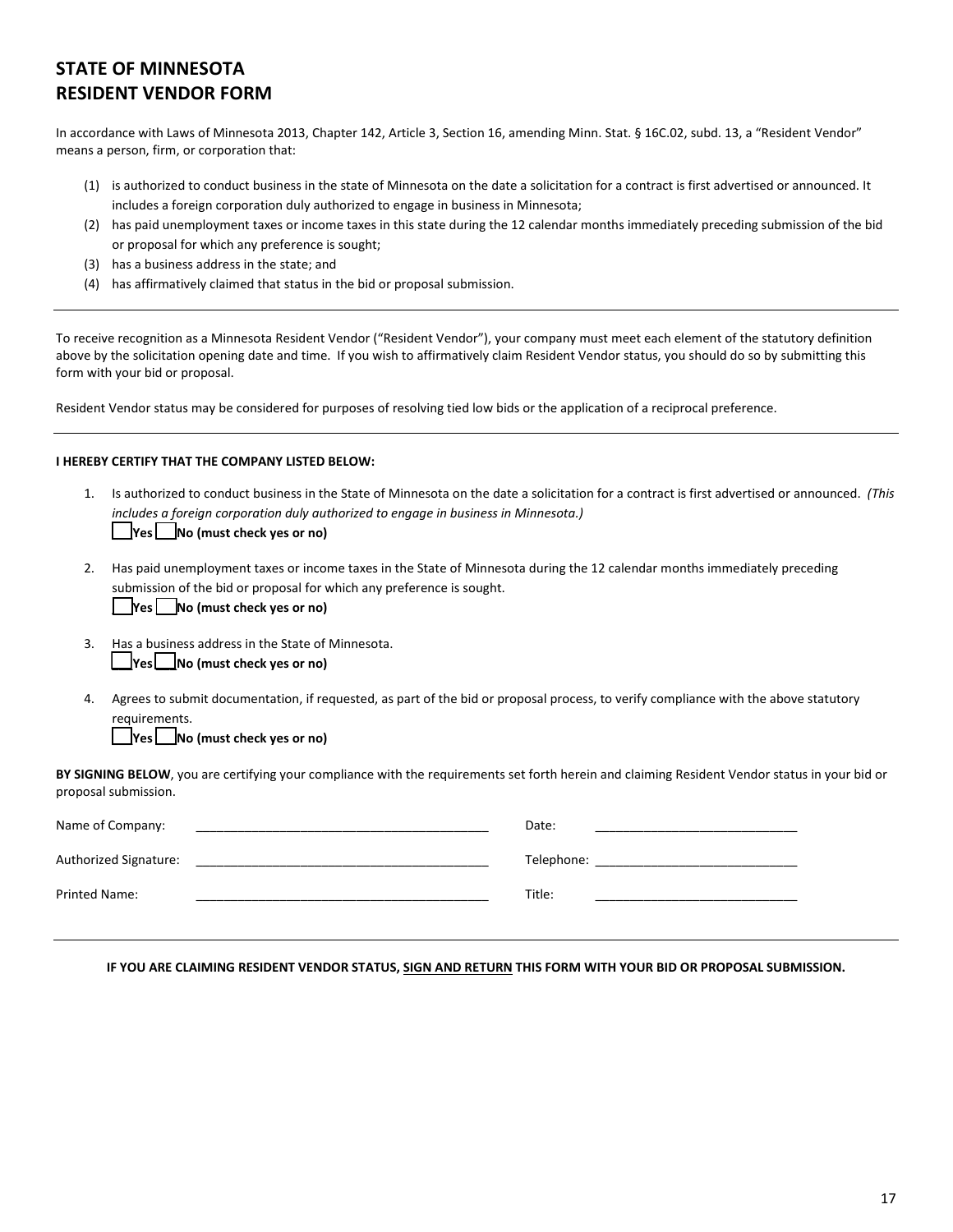## **STATE OF MINNESOTA RESIDENT VENDOR FORM**

In accordance with Laws of Minnesota 2013, Chapter 142, Article 3, Section 16, amending Minn. Stat. § 16C.02, subd. 13, a "Resident Vendor" means a person, firm, or corporation that:

- (1) is authorized to conduct business in the state of Minnesota on the date a solicitation for a contract is first advertised or announced. It includes a foreign corporation duly authorized to engage in business in Minnesota;
- (2) has paid unemployment taxes or income taxes in this state during the 12 calendar months immediately preceding submission of the bid or proposal for which any preference is sought;
- (3) has a business address in the state; and
- (4) has affirmatively claimed that status in the bid or proposal submission.

To receive recognition as a Minnesota Resident Vendor ("Resident Vendor"), your company must meet each element of the statutory definition above by the solicitation opening date and time. If you wish to affirmatively claim Resident Vendor status, you should do so by submitting this form with your bid or proposal.

Resident Vendor status may be considered for purposes of resolving tied low bids or the application of a reciprocal preference.

#### **I HEREBY CERTIFY THAT THE COMPANY LISTED BELOW:**

- 1. Is authorized to conduct business in the State of Minnesota on the date a solicitation for a contract is first advertised or announced. *(This includes a foreign corporation duly authorized to engage in business in Minnesota.)*  **\_\_\_Yes \_\_\_No (must check yes or no)**
- **\_\_\_Yes \_\_\_No (must check yes or no)**  2. Has paid unemployment taxes or income taxes in the State of Minnesota during the 12 calendar months immediately preceding submission of the bid or proposal for which any preference is sought.
- **\_\_\_Yes \_\_\_No (must check yes or no)**  3. Has a business address in the State of Minnesota.
- 4. Agrees to submit documentation, if requested, as part of the bid or proposal process, to verify compliance with the above statutory requirements.

**\_\_\_Yes \_\_\_No (must check yes or no)** 

**BY SIGNING BELOW**, you are certifying your compliance with the requirements set forth herein and claiming Resident Vendor status in your bid or proposal submission.

| Name of Company:      | Date:      |  |
|-----------------------|------------|--|
| Authorized Signature: | Telephone: |  |
| Printed Name:         | Title:     |  |
|                       |            |  |

**IF YOU ARE CLAIMING RESIDENT VENDOR STATUS, SIGN AND RETURN THIS FORM WITH YOUR BID OR PROPOSAL SUBMISSION.**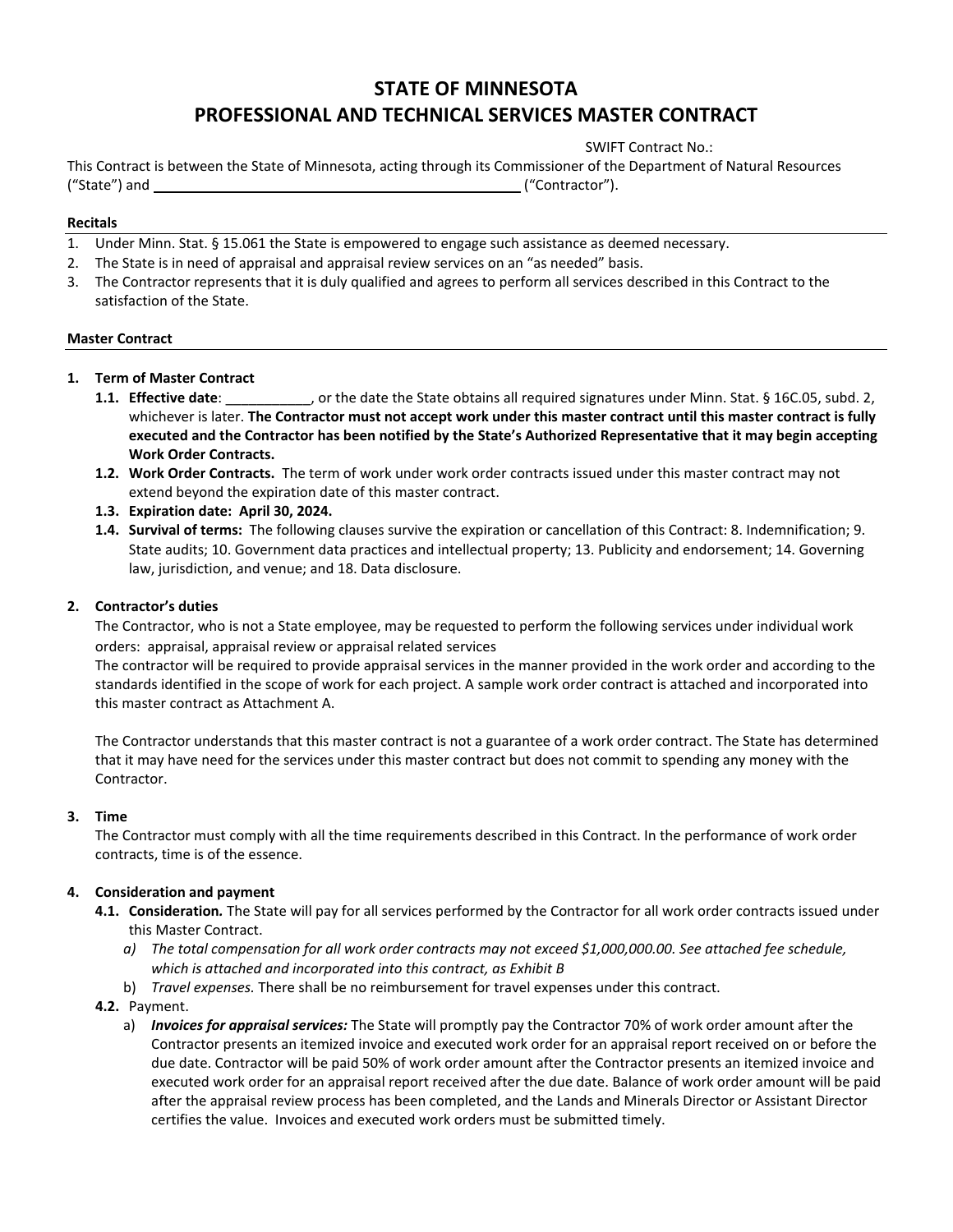## **STATE OF MINNESOTA PROFESSIONAL AND TECHNICAL SERVICES MASTER CONTRACT**

SWIFT Contract No.:

This Contract is between the State of Minnesota, acting through its Commissioner of the Department of Natural Resources ("State") and *\_\_\_\_\_\_\_* ("Contractor").

#### **Recitals**

- 1. Under Minn. Stat. § 15.061 the State is empowered to engage such assistance as deemed necessary.
- 2. The State is in need of appraisal and appraisal review services on an "as needed" basis.
- 3. The Contractor represents that it is duly qualified and agrees to perform all services described in this Contract to the satisfaction of the State.

#### **Master Contract**

- **1. Term of Master Contract**
	- **1.1. Effective date**: \_\_\_\_\_\_\_\_\_\_\_, or the date the State obtains all required signatures under Minn. Stat. § 16C.05, subd. 2, whichever is later. **The Contractor must not accept work under this master contract until this master contract is fully executed and the Contractor has been notified by the State's Authorized Representative that it may begin accepting Work Order Contracts.**
	- **1.2. Work Order Contracts.** The term of work under work order contracts issued under this master contract may not extend beyond the expiration date of this master contract.
	- **1.3. Expiration date: April 30, 2024.**
	- **1.4. Survival of terms:** The following clauses survive the expiration or cancellation of this Contract: 8. Indemnification; 9. State audits; 10. Government data practices and intellectual property; 13. Publicity and endorsement; 14. Governing law, jurisdiction, and venue; and 18. Data disclosure.

#### **2. Contractor's duties**

The Contractor, who is not a State employee, may be requested to perform the following services under individual work orders: appraisal, appraisal review or appraisal related services

The contractor will be required to provide appraisal services in the manner provided in the work order and according to the standards identified in the scope of work for each project. A sample work order contract is attached and incorporated into this master contract as Attachment A.

The Contractor understands that this master contract is not a guarantee of a work order contract. The State has determined that it may have need for the services under this master contract but does not commit to spending any money with the Contractor.

#### **3. Time**

The Contractor must comply with all the time requirements described in this Contract. In the performance of work order contracts, time is of the essence.

#### **4. Consideration and payment**

- **4.1. Consideration***.* The State will pay for all services performed by the Contractor for all work order contracts issued under this Master Contract.
	- *a) The total compensation for all work order contracts may not exceed \$1,000,000.00. See attached fee schedule, which is attached and incorporated into this contract, as Exhibit B*
	- b) *Travel expenses.* There shall be no reimbursement for travel expenses under this contract.
- **4.2.** Payment.
	- a) *Invoices for appraisal services:* The State will promptly pay the Contractor 70% of work order amount after the Contractor presents an itemized invoice and executed work order for an appraisal report received on or before the due date. Contractor will be paid 50% of work order amount after the Contractor presents an itemized invoice and executed work order for an appraisal report received after the due date. Balance of work order amount will be paid after the appraisal review process has been completed, and the Lands and Minerals Director or Assistant Director certifies the value. Invoices and executed work orders must be submitted timely.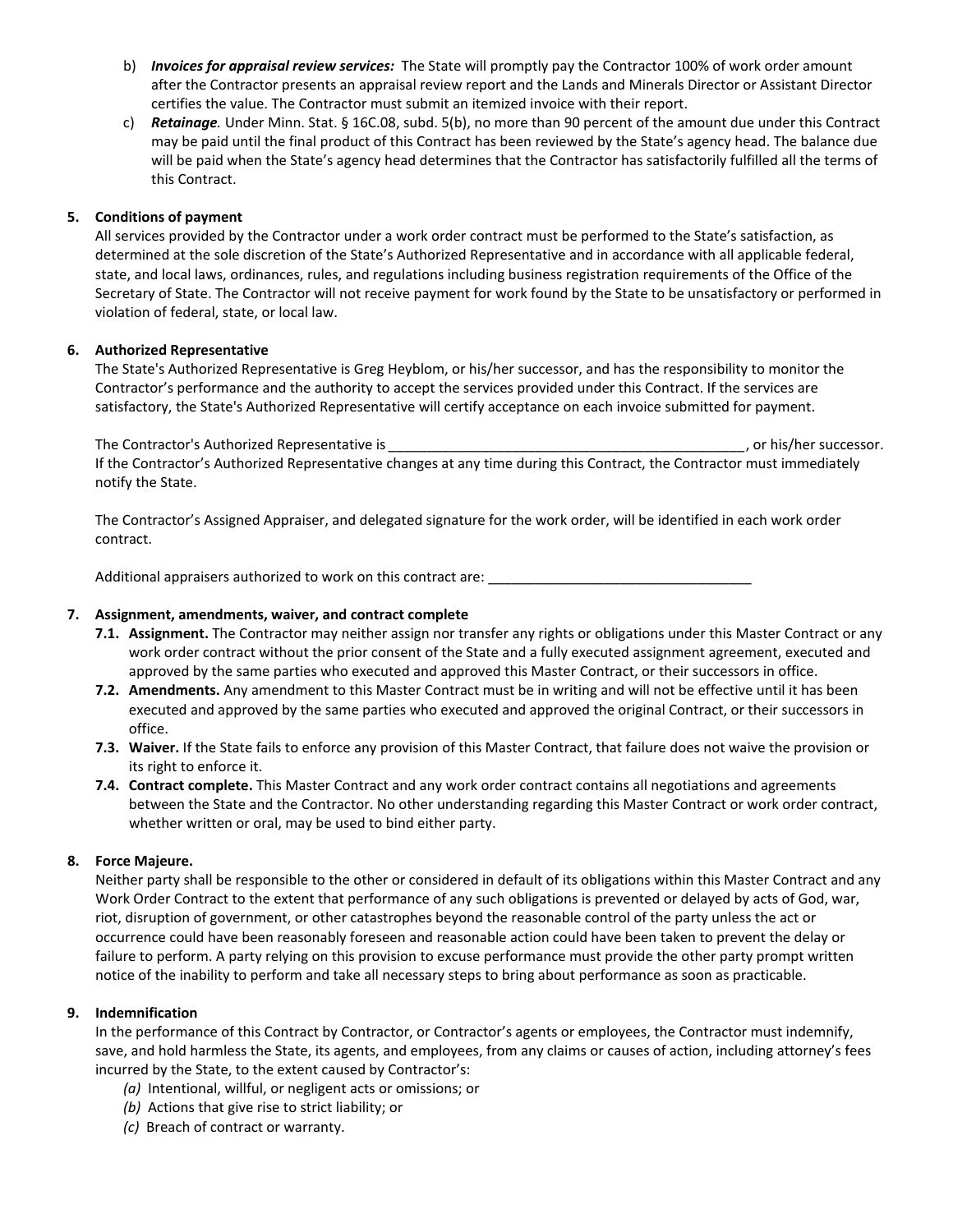- b) *Invoices for appraisal review services:* The State will promptly pay the Contractor 100% of work order amount after the Contractor presents an appraisal review report and the Lands and Minerals Director or Assistant Director certifies the value. The Contractor must submit an itemized invoice with their report.
- c) *Retainage.* Under Minn. Stat. § 16C.08, subd. 5(b), no more than 90 percent of the amount due under this Contract may be paid until the final product of this Contract has been reviewed by the State's agency head. The balance due will be paid when the State's agency head determines that the Contractor has satisfactorily fulfilled all the terms of this Contract.

#### **5. Conditions of payment**

All services provided by the Contractor under a work order contract must be performed to the State's satisfaction, as determined at the sole discretion of the State's Authorized Representative and in accordance with all applicable federal, state, and local laws, ordinances, rules, and regulations including business registration requirements of the Office of the Secretary of State. The Contractor will not receive payment for work found by the State to be unsatisfactory or performed in violation of federal, state, or local law.

#### **6. Authorized Representative**

The State's Authorized Representative is Greg Heyblom, or his/her successor, and has the responsibility to monitor the Contractor's performance and the authority to accept the services provided under this Contract. If the services are satisfactory, the State's Authorized Representative will certify acceptance on each invoice submitted for payment.

The Contractor's Authorized Representative is *\_\_\_\_\_\_\_\_\_\_\_\_\_\_\_\_\_\_\_\_\_\_\_\_\_\_\_\_\_\_\_\_\_\_\_\_\_\_\_\_\_\_\_\_\_\_*, or his/her successor. If the Contractor's Authorized Representative changes at any time during this Contract, the Contractor must immediately notify the State.

The Contractor's Assigned Appraiser, and delegated signature for the work order, will be identified in each work order contract.

Additional appraisers authorized to work on this contract are:

#### **7. Assignment, amendments, waiver, and contract complete**

- **7.1. Assignment.** The Contractor may neither assign nor transfer any rights or obligations under this Master Contract or any work order contract without the prior consent of the State and a fully executed assignment agreement, executed and approved by the same parties who executed and approved this Master Contract, or their successors in office.
- **7.2. Amendments.** Any amendment to this Master Contract must be in writing and will not be effective until it has been executed and approved by the same parties who executed and approved the original Contract, or their successors in office.
- **7.3. Waiver.** If the State fails to enforce any provision of this Master Contract, that failure does not waive the provision or its right to enforce it.
- **7.4. Contract complete.** This Master Contract and any work order contract contains all negotiations and agreements between the State and the Contractor. No other understanding regarding this Master Contract or work order contract, whether written or oral, may be used to bind either party.

#### **8. Force Majeure.**

Neither party shall be responsible to the other or considered in default of its obligations within this Master Contract and any Work Order Contract to the extent that performance of any such obligations is prevented or delayed by acts of God, war, riot, disruption of government, or other catastrophes beyond the reasonable control of the party unless the act or occurrence could have been reasonably foreseen and reasonable action could have been taken to prevent the delay or failure to perform. A party relying on this provision to excuse performance must provide the other party prompt written notice of the inability to perform and take all necessary steps to bring about performance as soon as practicable.

#### **9. Indemnification**

In the performance of this Contract by Contractor, or Contractor's agents or employees, the Contractor must indemnify, save, and hold harmless the State, its agents, and employees, from any claims or causes of action, including attorney's fees incurred by the State, to the extent caused by Contractor's:

- *(a)* Intentional, willful, or negligent acts or omissions; or
- *(b)* Actions that give rise to strict liability; or
- *(c)* Breach of contract or warranty.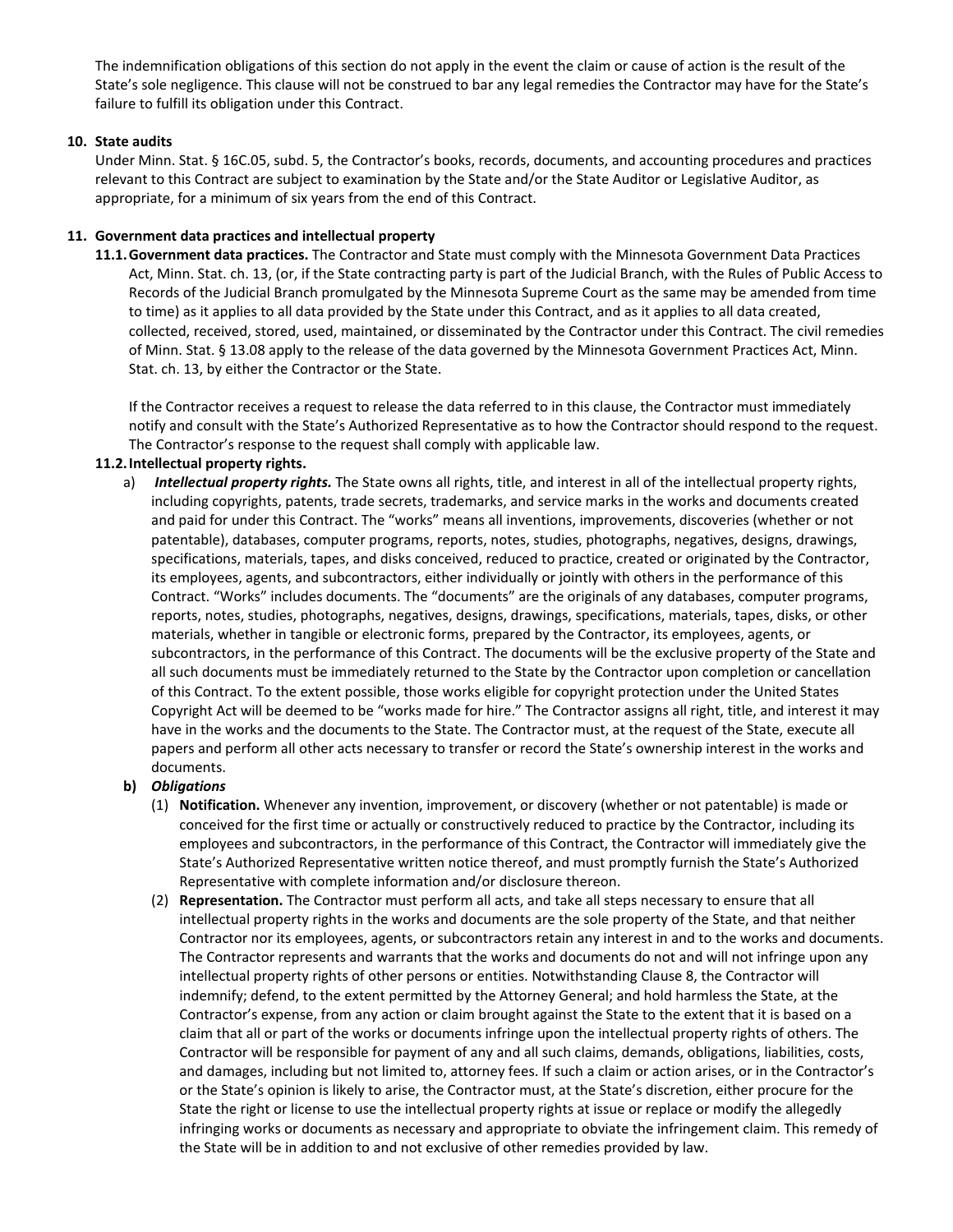The indemnification obligations of this section do not apply in the event the claim or cause of action is the result of the State's sole negligence. This clause will not be construed to bar any legal remedies the Contractor may have for the State's failure to fulfill its obligation under this Contract.

#### **10. State audits**

Under Minn. Stat. § 16C.05, subd. 5, the Contractor's books, records, documents, and accounting procedures and practices relevant to this Contract are subject to examination by the State and/or the State Auditor or Legislative Auditor, as appropriate, for a minimum of six years from the end of this Contract.

#### **11. Government data practices and intellectual property**

**11.1.Government data practices.** The Contractor and State must comply with the Minnesota Government Data Practices Act, Minn. Stat. ch. 13, (or, if the State contracting party is part of the Judicial Branch, with the Rules of Public Access to Records of the Judicial Branch promulgated by the Minnesota Supreme Court as the same may be amended from time to time) as it applies to all data provided by the State under this Contract, and as it applies to all data created, collected, received, stored, used, maintained, or disseminated by the Contractor under this Contract. The civil remedies of Minn. Stat. § 13.08 apply to the release of the data governed by the Minnesota Government Practices Act, Minn. Stat. ch. 13, by either the Contractor or the State.

If the Contractor receives a request to release the data referred to in this clause, the Contractor must immediately notify and consult with the State's Authorized Representative as to how the Contractor should respond to the request. The Contractor's response to the request shall comply with applicable law.

#### **11.2.Intellectual property rights.**

a) *Intellectual property rights*. The State owns all rights, title, and interest in all of the intellectual property rights, including copyrights, patents, trade secrets, trademarks, and service marks in the works and documents created and paid for under this Contract. The "works" means all inventions, improvements, discoveries (whether or not patentable), databases, computer programs, reports, notes, studies, photographs, negatives, designs, drawings, specifications, materials, tapes, and disks conceived, reduced to practice, created or originated by the Contractor, its employees, agents, and subcontractors, either individually or jointly with others in the performance of this Contract. "Works" includes documents. The "documents" are the originals of any databases, computer programs, reports, notes, studies, photographs, negatives, designs, drawings, specifications, materials, tapes, disks, or other materials, whether in tangible or electronic forms, prepared by the Contractor, its employees, agents, or subcontractors, in the performance of this Contract. The documents will be the exclusive property of the State and all such documents must be immediately returned to the State by the Contractor upon completion or cancellation of this Contract. To the extent possible, those works eligible for copyright protection under the United States Copyright Act will be deemed to be "works made for hire." The Contractor assigns all right, title, and interest it may have in the works and the documents to the State. The Contractor must, at the request of the State, execute all papers and perform all other acts necessary to transfer or record the State's ownership interest in the works and documents.

#### **b)** *Obligations*

- (1) **Notification.** Whenever any invention, improvement, or discovery (whether or not patentable) is made or conceived for the first time or actually or constructively reduced to practice by the Contractor, including its employees and subcontractors, in the performance of this Contract, the Contractor will immediately give the State's Authorized Representative written notice thereof, and must promptly furnish the State's Authorized Representative with complete information and/or disclosure thereon.
- (2) **Representation.** The Contractor must perform all acts, and take all steps necessary to ensure that all intellectual property rights in the works and documents are the sole property of the State, and that neither Contractor nor its employees, agents, or subcontractors retain any interest in and to the works and documents. The Contractor represents and warrants that the works and documents do not and will not infringe upon any intellectual property rights of other persons or entities. Notwithstanding Clause 8, the Contractor will indemnify; defend, to the extent permitted by the Attorney General; and hold harmless the State, at the Contractor's expense, from any action or claim brought against the State to the extent that it is based on a claim that all or part of the works or documents infringe upon the intellectual property rights of others. The Contractor will be responsible for payment of any and all such claims, demands, obligations, liabilities, costs, and damages, including but not limited to, attorney fees. If such a claim or action arises, or in the Contractor's or the State's opinion is likely to arise, the Contractor must, at the State's discretion, either procure for the State the right or license to use the intellectual property rights at issue or replace or modify the allegedly infringing works or documents as necessary and appropriate to obviate the infringement claim. This remedy of the State will be in addition to and not exclusive of other remedies provided by law.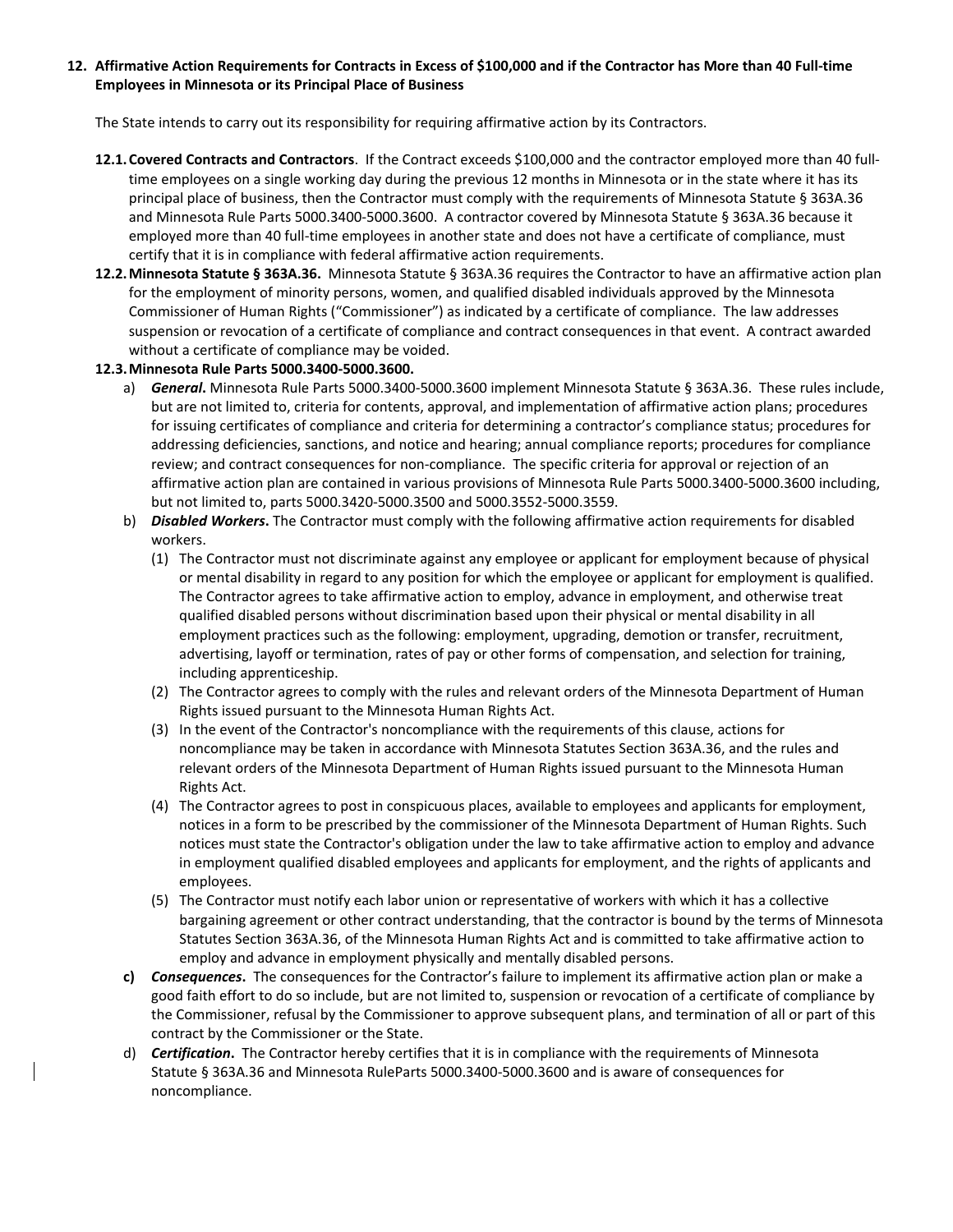#### **12. Affirmative Action Requirements for Contracts in Excess of \$100,000 and if the Contractor has More than 40 Full-time Employees in Minnesota or its Principal Place of Business**

The State intends to carry out its responsibility for requiring affirmative action by its Contractors.

- **12.1.Covered Contracts and Contractors**. If the Contract exceeds \$100,000 and the contractor employed more than 40 fulltime employees on a single working day during the previous 12 months in Minnesota or in the state where it has its principal place of business, then the Contractor must comply with the requirements of Minnesota Statute § 363A.36 and Minnesota Rule Parts 5000.3400-5000.3600. A contractor covered by Minnesota Statute § 363A.36 because it employed more than 40 full-time employees in another state and does not have a certificate of compliance, must certify that it is in compliance with federal affirmative action requirements.
- **12.2.Minnesota Statute § 363A.36.** Minnesota Statute § 363A.36 requires the Contractor to have an affirmative action plan for the employment of minority persons, women, and qualified disabled individuals approved by the Minnesota Commissioner of Human Rights ("Commissioner") as indicated by a certificate of compliance. The law addresses suspension or revocation of a certificate of compliance and contract consequences in that event. A contract awarded without a certificate of compliance may be voided.

#### **12.3.Minnesota Rule Parts 5000.3400-5000.3600.**

- a) *General***.** Minnesota Rule Parts 5000.3400-5000.3600 implement Minnesota Statute § 363A.36. These rules include, but are not limited to, criteria for contents, approval, and implementation of affirmative action plans; procedures for issuing certificates of compliance and criteria for determining a contractor's compliance status; procedures for addressing deficiencies, sanctions, and notice and hearing; annual compliance reports; procedures for compliance review; and contract consequences for non-compliance. The specific criteria for approval or rejection of an affirmative action plan are contained in various provisions of Minnesota Rule Parts 5000.3400-5000.3600 including, but not limited to, parts 5000.3420-5000.3500 and 5000.3552-5000.3559.
- b) *Disabled Workers***.** The Contractor must comply with the following affirmative action requirements for disabled workers.
	- (1) The Contractor must not discriminate against any employee or applicant for employment because of physical or mental disability in regard to any position for which the employee or applicant for employment is qualified. The Contractor agrees to take affirmative action to employ, advance in employment, and otherwise treat qualified disabled persons without discrimination based upon their physical or mental disability in all employment practices such as the following: employment, upgrading, demotion or transfer, recruitment, advertising, layoff or termination, rates of pay or other forms of compensation, and selection for training, including apprenticeship.
	- (2) The Contractor agrees to comply with the rules and relevant orders of the Minnesota Department of Human Rights issued pursuant to the Minnesota Human Rights Act.
	- (3) In the event of the Contractor's noncompliance with the requirements of this clause, actions for noncompliance may be taken in accordance with Minnesota Statutes Section 363A.36, and the rules and relevant orders of the Minnesota Department of Human Rights issued pursuant to the Minnesota Human Rights Act.
	- (4) The Contractor agrees to post in conspicuous places, available to employees and applicants for employment, notices in a form to be prescribed by the commissioner of the Minnesota Department of Human Rights. Such notices must state the Contractor's obligation under the law to take affirmative action to employ and advance in employment qualified disabled employees and applicants for employment, and the rights of applicants and employees.
	- (5) The Contractor must notify each labor union or representative of workers with which it has a collective bargaining agreement or other contract understanding, that the contractor is bound by the terms of Minnesota Statutes Section 363A.36, of the Minnesota Human Rights Act and is committed to take affirmative action to employ and advance in employment physically and mentally disabled persons.
- **c)** *Consequences***.** The consequences for the Contractor's failure to implement its affirmative action plan or make a good faith effort to do so include, but are not limited to, suspension or revocation of a certificate of compliance by the Commissioner, refusal by the Commissioner to approve subsequent plans, and termination of all or part of this contract by the Commissioner or the State.
- d) *Certification***.** The Contractor hereby certifies that it is in compliance with the requirements of Minnesota Statute § 363A.36 and Minnesota RuleParts 5000.3400-5000.3600 and is aware of consequences for noncompliance.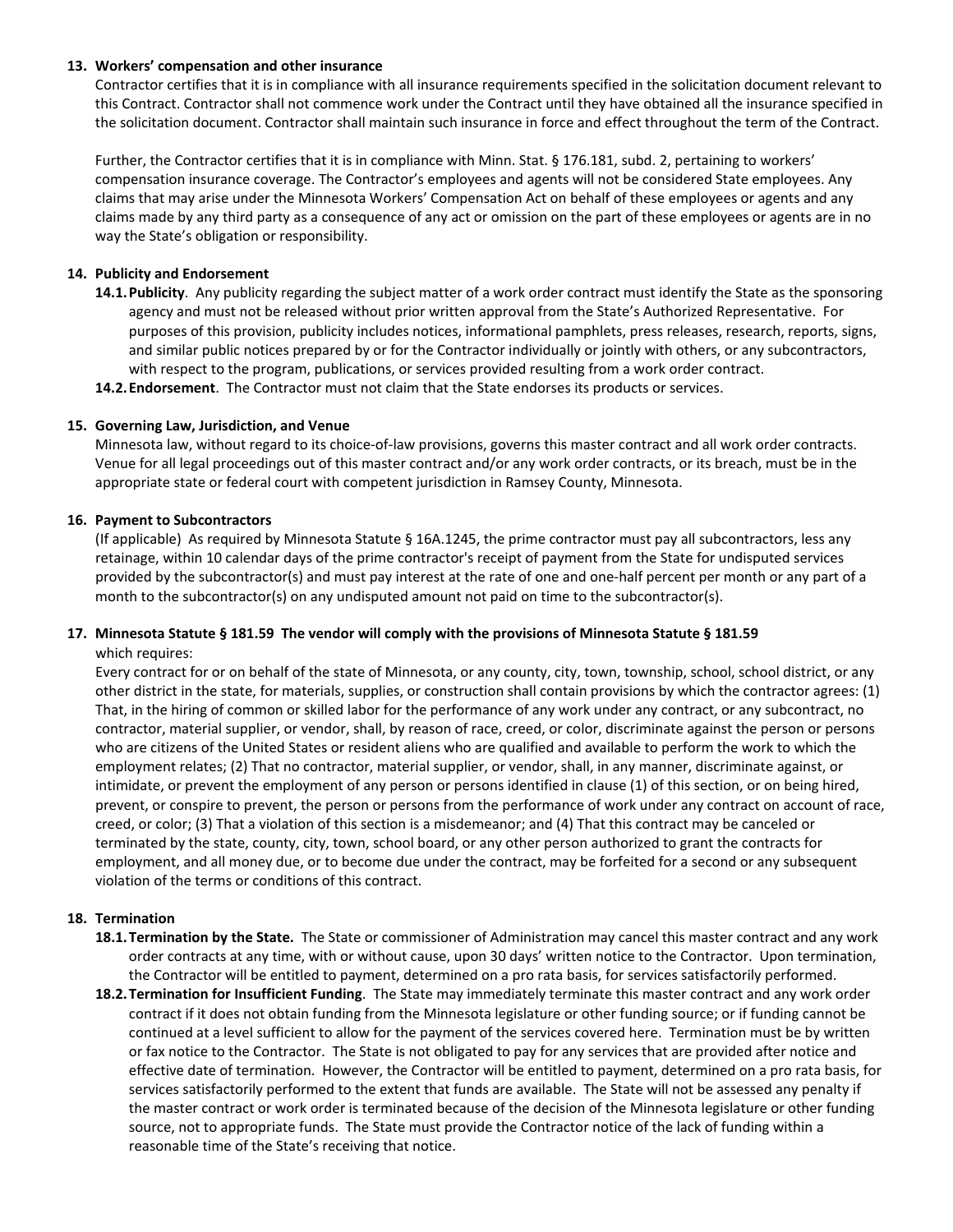#### **13. Workers' compensation and other insurance**

Contractor certifies that it is in compliance with all insurance requirements specified in the solicitation document relevant to this Contract. Contractor shall not commence work under the Contract until they have obtained all the insurance specified in the solicitation document. Contractor shall maintain such insurance in force and effect throughout the term of the Contract.

Further, the Contractor certifies that it is in compliance with Minn. Stat. § 176.181, subd. 2, pertaining to workers' compensation insurance coverage. The Contractor's employees and agents will not be considered State employees. Any claims that may arise under the Minnesota Workers' Compensation Act on behalf of these employees or agents and any claims made by any third party as a consequence of any act or omission on the part of these employees or agents are in no way the State's obligation or responsibility.

#### **14. Publicity and Endorsement**

**14.1.Publicity**. Any publicity regarding the subject matter of a work order contract must identify the State as the sponsoring agency and must not be released without prior written approval from the State's Authorized Representative. For purposes of this provision, publicity includes notices, informational pamphlets, press releases, research, reports, signs, and similar public notices prepared by or for the Contractor individually or jointly with others, or any subcontractors, with respect to the program, publications, or services provided resulting from a work order contract.

**14.2.Endorsement**. The Contractor must not claim that the State endorses its products or services.

#### **15. Governing Law, Jurisdiction, and Venue**

Minnesota law, without regard to its choice-of-law provisions, governs this master contract and all work order contracts. Venue for all legal proceedings out of this master contract and/or any work order contracts, or its breach, must be in the appropriate state or federal court with competent jurisdiction in Ramsey County, Minnesota.

#### **16. Payment to Subcontractors**

(If applicable) As required by Minnesota Statute § 16A.1245, the prime contractor must pay all subcontractors, less any retainage, within 10 calendar days of the prime contractor's receipt of payment from the State for undisputed services provided by the subcontractor(s) and must pay interest at the rate of one and one-half percent per month or any part of a month to the subcontractor(s) on any undisputed amount not paid on time to the subcontractor(s).

#### **17. Minnesota Statute § 181.59 The vendor will comply with the provisions of Minnesota Statute § 181.59**  which requires:

Every contract for or on behalf of the state of Minnesota, or any county, city, town, township, school, school district, or any other district in the state, for materials, supplies, or construction shall contain provisions by which the contractor agrees: (1) That, in the hiring of common or skilled labor for the performance of any work under any contract, or any subcontract, no contractor, material supplier, or vendor, shall, by reason of race, creed, or color, discriminate against the person or persons who are citizens of the United States or resident aliens who are qualified and available to perform the work to which the employment relates; (2) That no contractor, material supplier, or vendor, shall, in any manner, discriminate against, or intimidate, or prevent the employment of any person or persons identified in clause (1) of this section, or on being hired, prevent, or conspire to prevent, the person or persons from the performance of work under any contract on account of race, creed, or color; (3) That a violation of this section is a misdemeanor; and (4) That this contract may be canceled or terminated by the state, county, city, town, school board, or any other person authorized to grant the contracts for employment, and all money due, or to become due under the contract, may be forfeited for a second or any subsequent violation of the terms or conditions of this contract.

#### **18. Termination**

- **18.1.Termination by the State.** The State or commissioner of Administration may cancel this master contract and any work order contracts at any time, with or without cause, upon 30 days' written notice to the Contractor. Upon termination, the Contractor will be entitled to payment, determined on a pro rata basis, for services satisfactorily performed.
- **18.2.Termination for Insufficient Funding**.The State may immediately terminate this master contract and any work order contract if it does not obtain funding from the Minnesota legislature or other funding source; or if funding cannot be continued at a level sufficient to allow for the payment of the services covered here. Termination must be by written or fax notice to the Contractor. The State is not obligated to pay for any services that are provided after notice and effective date of termination. However, the Contractor will be entitled to payment, determined on a pro rata basis, for services satisfactorily performed to the extent that funds are available. The State will not be assessed any penalty if the master contract or work order is terminated because of the decision of the Minnesota legislature or other funding source, not to appropriate funds. The State must provide the Contractor notice of the lack of funding within a reasonable time of the State's receiving that notice.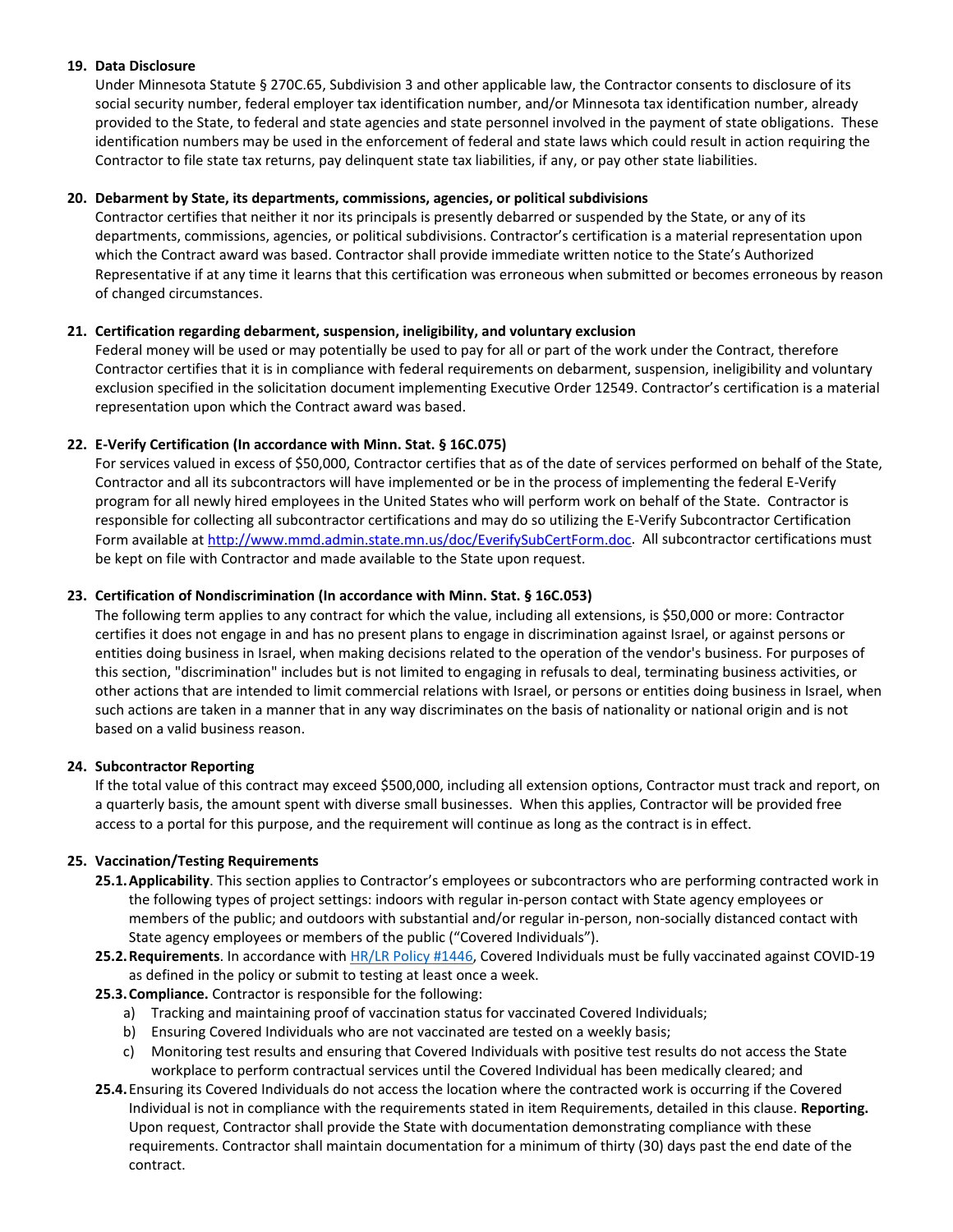#### **19. Data Disclosure**

Under Minnesota Statute § 270C.65, Subdivision 3 and other applicable law, the Contractor consents to disclosure of its social security number, federal employer tax identification number, and/or Minnesota tax identification number, already provided to the State, to federal and state agencies and state personnel involved in the payment of state obligations. These identification numbers may be used in the enforcement of federal and state laws which could result in action requiring the Contractor to file state tax returns, pay delinquent state tax liabilities, if any, or pay other state liabilities.

#### **20. Debarment by State, its departments, commissions, agencies, or political subdivisions**

Contractor certifies that neither it nor its principals is presently debarred or suspended by the State, or any of its departments, commissions, agencies, or political subdivisions. Contractor's certification is a material representation upon which the Contract award was based. Contractor shall provide immediate written notice to the State's Authorized Representative if at any time it learns that this certification was erroneous when submitted or becomes erroneous by reason of changed circumstances.

#### **21. Certification regarding debarment, suspension, ineligibility, and voluntary exclusion**

Federal money will be used or may potentially be used to pay for all or part of the work under the Contract, therefore Contractor certifies that it is in compliance with federal requirements on debarment, suspension, ineligibility and voluntary exclusion specified in the solicitation document implementing Executive Order 12549. Contractor's certification is a material representation upon which the Contract award was based.

## **22. E-Verify Certification (In accordance with Minn. Stat. § 16C.075)**

For services valued in excess of \$50,000, Contractor certifies that as of the date of services performed on behalf of the State, Contractor and all its subcontractors will have implemented or be in the process of implementing the federal E-Verify program for all newly hired employees in the United States who will perform work on behalf of the State. Contractor is responsible for collecting all subcontractor certifications and may do so utilizing the E-Verify Subcontractor Certification Form available a[t http://www.mmd.admin.state.mn.us/doc/EverifySubCertForm.doc.](http://www.mmd.admin.state.mn.us/doc/EverifySubCertForm.doc) All subcontractor certifications must be kept on file with Contractor and made available to the State upon request.

#### **23. Certification of Nondiscrimination (In accordance with Minn. Stat. § 16C.053)**

The following term applies to any contract for which the value, including all extensions, is \$50,000 or more: Contractor certifies it does not engage in and has no present plans to engage in discrimination against Israel, or against persons or entities doing business in Israel, when making decisions related to the operation of the vendor's business. For purposes of this section, "discrimination" includes but is not limited to engaging in refusals to deal, terminating business activities, or other actions that are intended to limit commercial relations with Israel, or persons or entities doing business in Israel, when such actions are taken in a manner that in any way discriminates on the basis of nationality or national origin and is not based on a valid business reason.

#### **24. Subcontractor Reporting**

If the total value of this contract may exceed \$500,000, including all extension options, Contractor must track and report, on a quarterly basis, the amount spent with diverse small businesses. When this applies, Contractor will be provided free access to a portal for this purpose, and the requirement will continue as long as the contract is in effect.

## **25. Vaccination/Testing Requirements**

- **25.1.Applicability**. This section applies to Contractor's employees or subcontractors who are performing contracted work in the following types of project settings: indoors with regular in-person contact with State agency employees or members of the public; and outdoors with substantial and/or regular in-person, non-socially distanced contact with State agency employees or members of the public ("Covered Individuals").
- **25.2.Requirements**. In accordance with [HR/LR Policy #1446,](https://mn.gov/mmb-stat/policies/1446-covid19testingvaccination.pdf) Covered Individuals must be fully vaccinated against COVID-19 as defined in the policy or submit to testing at least once a week.
- **25.3.Compliance.** Contractor is responsible for the following:
	- a) Tracking and maintaining proof of vaccination status for vaccinated Covered Individuals;
	- b) Ensuring Covered Individuals who are not vaccinated are tested on a weekly basis;
	- c) Monitoring test results and ensuring that Covered Individuals with positive test results do not access the State workplace to perform contractual services until the Covered Individual has been medically cleared; and
- **25.4.**Ensuring its Covered Individuals do not access the location where the contracted work is occurring if the Covered Individual is not in compliance with the requirements stated in item Requirements, detailed in this clause. **Reporting.** Upon request, Contractor shall provide the State with documentation demonstrating compliance with these requirements. Contractor shall maintain documentation for a minimum of thirty (30) days past the end date of the contract.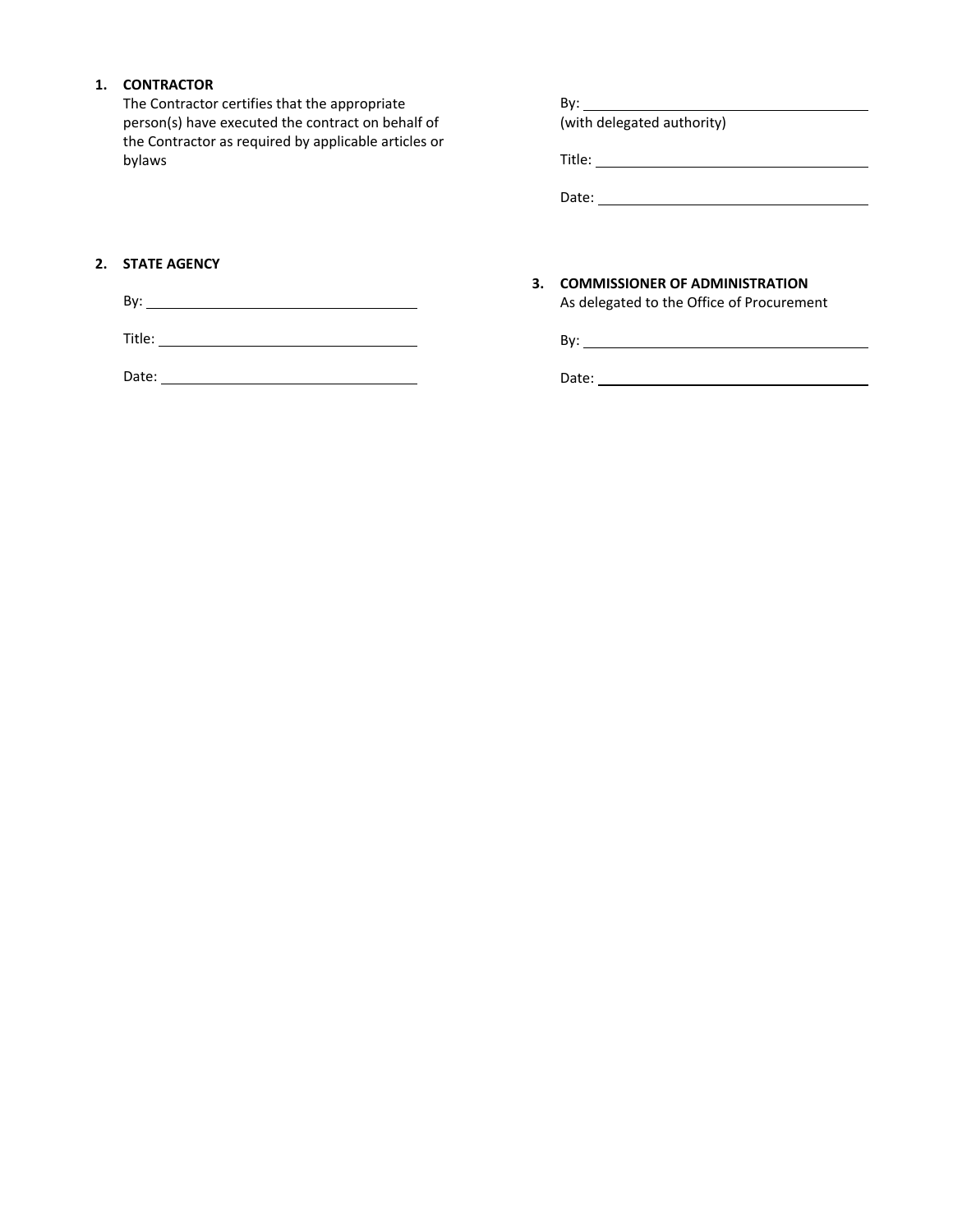## **1. CONTRACTOR**

The Contractor certifies that the appropriate person(s) have executed the contract on behalf of the Contractor as required by applicable articles or bylaws

By: **Example** (with delegated authority) Title:

Date:

### **2. STATE AGENCY**

By:

Title:

Date:

#### **3. COMMISSIONER OF ADMINISTRATION** As delegated to the Office of Procurement

By:

Date: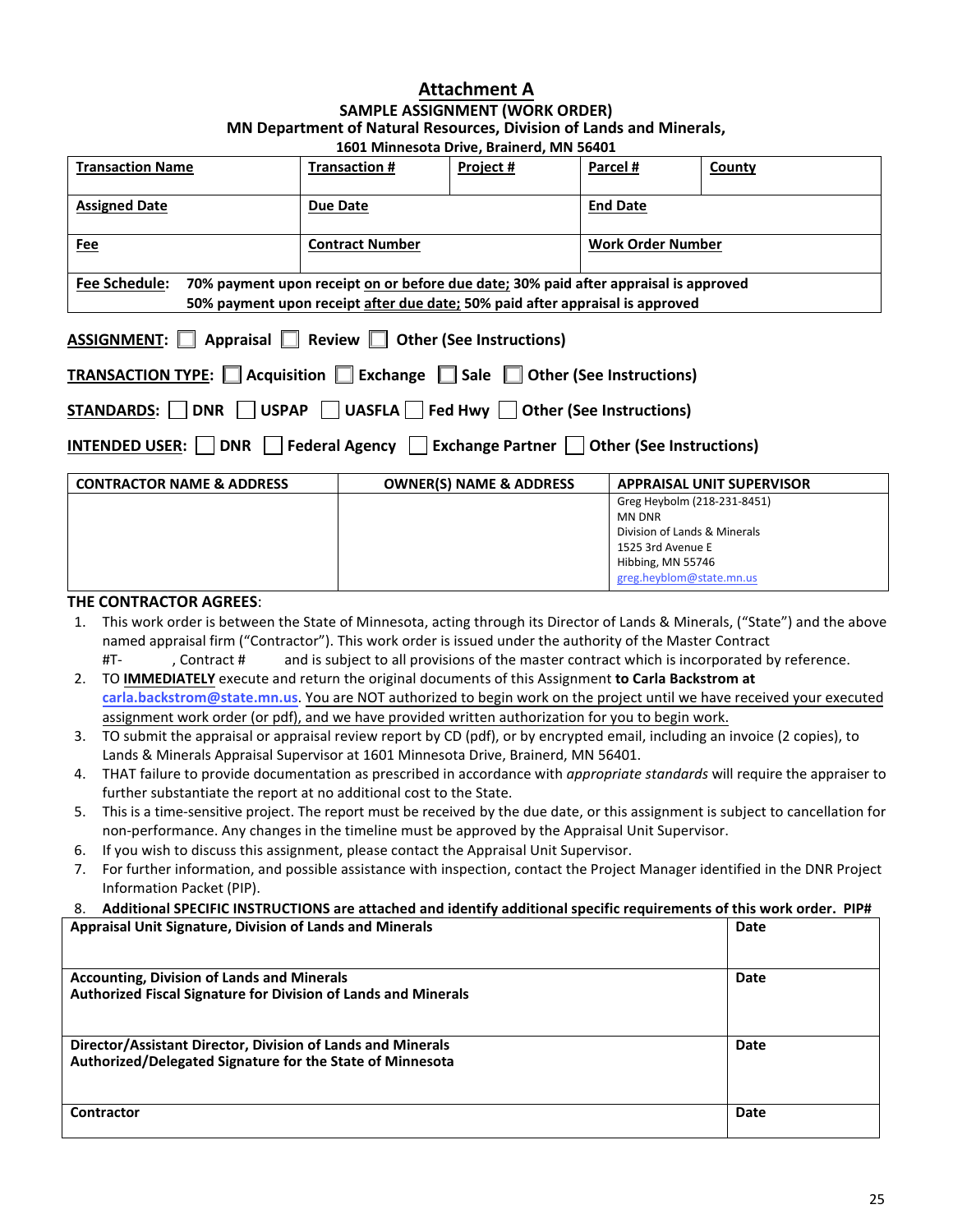## **Attachment A SAMPLE ASSIGNMENT (WORK ORDER) MN Department of Natural Resources, Division of Lands and Minerals,**

|                                                                                                                                                                                                                                                |                                                                                      | 1601 Minnesota Drive, Brainerd, MN 56401                |                                                                                                                                                    |                                                                                             |
|------------------------------------------------------------------------------------------------------------------------------------------------------------------------------------------------------------------------------------------------|--------------------------------------------------------------------------------------|---------------------------------------------------------|----------------------------------------------------------------------------------------------------------------------------------------------------|---------------------------------------------------------------------------------------------|
| <b>Transaction Name</b>                                                                                                                                                                                                                        | <b>Transaction #</b>                                                                 | Project #                                               | Parcel #                                                                                                                                           | <b>County</b>                                                                               |
| <b>Assigned Date</b>                                                                                                                                                                                                                           | <b>Due Date</b>                                                                      |                                                         | <b>End Date</b>                                                                                                                                    |                                                                                             |
| <u>Fee</u>                                                                                                                                                                                                                                     | <b>Contract Number</b>                                                               |                                                         | <b>Work Order Number</b>                                                                                                                           |                                                                                             |
| <b>Fee Schedule:</b>                                                                                                                                                                                                                           | 70% payment upon receipt on or before due date; 30% paid after appraisal is approved |                                                         |                                                                                                                                                    |                                                                                             |
|                                                                                                                                                                                                                                                | 50% payment upon receipt after due date; 50% paid after appraisal is approved        |                                                         |                                                                                                                                                    |                                                                                             |
| ASSIGNMENT: <b>I</b>                                                                                                                                                                                                                           | Appraisal $\Box$ Review $\Box$ Other (See Instructions)                              |                                                         |                                                                                                                                                    |                                                                                             |
| <b>TRANSACTION TYPE:</b> $\Box$ Acquisition $\Box$ Exchange $\Box$ Sale $\Box$ Other (See Instructions)                                                                                                                                        |                                                                                      |                                                         |                                                                                                                                                    |                                                                                             |
| $USPAP$    <br>STANDARDS:     DNR                                                                                                                                                                                                              |                                                                                      | UASFLA $\vert$ Fed Hwy $\vert$ Other (See Instructions) |                                                                                                                                                    |                                                                                             |
| <b>INTENDED USER:</b>                                                                                                                                                                                                                          | DNR     Federal Agency     Exchange Partner     Other (See Instructions)             |                                                         |                                                                                                                                                    |                                                                                             |
| <b>CONTRACTOR NAME &amp; ADDRESS</b>                                                                                                                                                                                                           |                                                                                      | <b>OWNER(S) NAME &amp; ADDRESS</b>                      |                                                                                                                                                    | <b>APPRAISAL UNIT SUPERVISOR</b>                                                            |
|                                                                                                                                                                                                                                                |                                                                                      |                                                         | Greg Heybolm (218-231-8451)<br><b>MN DNR</b><br>Division of Lands & Minerals<br>1525 3rd Avenue E<br>Hibbing, MN 55746<br>greg.heyblom@state.mn.us |                                                                                             |
| THE CONTRACTOR AGREES:                                                                                                                                                                                                                         |                                                                                      |                                                         |                                                                                                                                                    |                                                                                             |
| This work order is between the State of Minnesota, acting through its Director of Lands & Minerals, ("State") and the above<br>1.<br>named appraisal firm ("Contractor"). This work order is issued under the authority of the Master Contract |                                                                                      |                                                         |                                                                                                                                                    |                                                                                             |
| $#T -$<br>, Contract #<br>TO IMMEDIATELY execute and return the original documents of this Assignment to Carla Backstrom at<br>2.                                                                                                              |                                                                                      |                                                         |                                                                                                                                                    | and is subject to all provisions of the master contract which is incorporated by reference. |
| carla.backstrom@state.mn.us. You are NOT authorized to begin work on the project until we have received your executed                                                                                                                          |                                                                                      |                                                         |                                                                                                                                                    |                                                                                             |
| assignment work order (or pdf), and we have provided written authorization for you to begin work.<br>TO submit the appraisal or appraisal review report by CD (pdf), or by encrypted email, including an invoice (2 copies), to<br>3.          |                                                                                      |                                                         |                                                                                                                                                    |                                                                                             |
| Lands & Minerals Appraisal Supervisor at 1601 Minnesota Drive, Brainerd, MN 56401.                                                                                                                                                             |                                                                                      |                                                         |                                                                                                                                                    |                                                                                             |
| THAT failure to provide documentation as prescribed in accordance with appropriate standards will require the appraiser to<br>4.<br>further substantiate the report at no additional cost to the State.                                        |                                                                                      |                                                         |                                                                                                                                                    |                                                                                             |
| This is a time-sensitive project. The report must be received by the due date, or this assignment is subject to cancellation for<br>5.                                                                                                         |                                                                                      |                                                         |                                                                                                                                                    |                                                                                             |
| non-performance. Any changes in the timeline must be approved by the Appraisal Unit Supervisor.                                                                                                                                                |                                                                                      |                                                         |                                                                                                                                                    |                                                                                             |
| If you wish to discuss this assignment, please contact the Appraisal Unit Supervisor.<br>6.                                                                                                                                                    |                                                                                      |                                                         |                                                                                                                                                    |                                                                                             |
| For further information, and possible assistance with inspection, contact the Project Manager identified in the DNR Project<br>7.<br>Information Packet (PIP).                                                                                 |                                                                                      |                                                         |                                                                                                                                                    |                                                                                             |
| Additional SPECIFIC INSTRUCTIONS are attached and identify additional specific requirements of this work order. PIP#<br>8.                                                                                                                     |                                                                                      |                                                         |                                                                                                                                                    |                                                                                             |
| Appraisal Unit Signature, Division of Lands and Minerals                                                                                                                                                                                       |                                                                                      |                                                         |                                                                                                                                                    | Date                                                                                        |
|                                                                                                                                                                                                                                                |                                                                                      |                                                         |                                                                                                                                                    |                                                                                             |
| <b>Accounting, Division of Lands and Minerals</b><br>Authorized Fiscal Signature for Division of Lands and Minerals                                                                                                                            |                                                                                      |                                                         |                                                                                                                                                    | Date                                                                                        |
| Director/Assistant Director, Division of Lands and Minerals<br>Authorized/Delegated Signature for the State of Minnesota                                                                                                                       |                                                                                      |                                                         |                                                                                                                                                    | Date                                                                                        |
| Contractor                                                                                                                                                                                                                                     |                                                                                      |                                                         |                                                                                                                                                    | Date                                                                                        |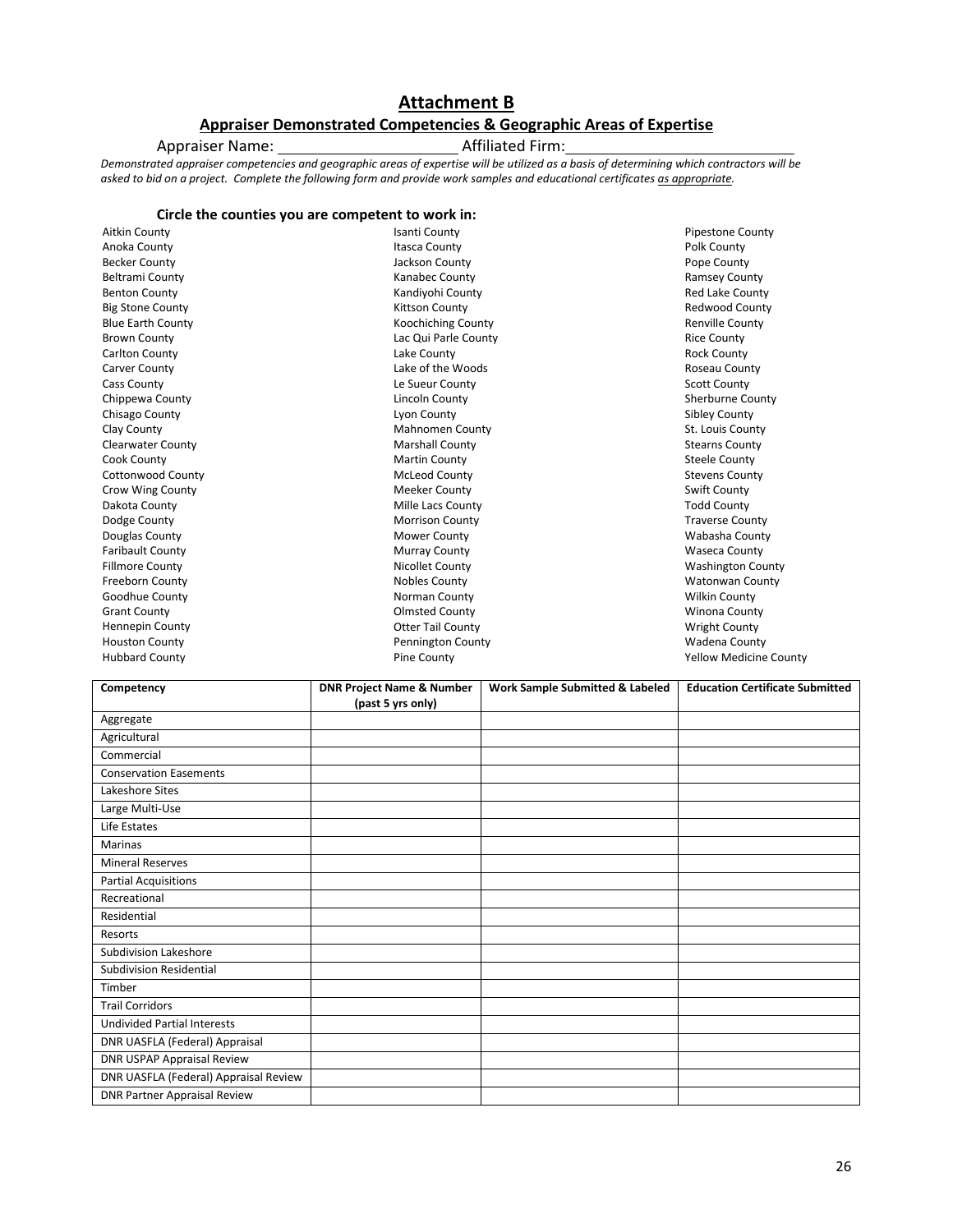## **Attachment B**

#### **Appraiser Demonstrated Competencies & Geographic Areas of Expertise**

#### Appraiser Name: Affiliated Firm:

*Demonstrated appraiser competencies and geographic areas of expertise will be utilized as a basis of determining which contractors will be asked to bid on a project. Complete the following form and provide work samples and educational certificates as appropriate.* 

## **Circle the counties you are competent to work in:**

**Hubbard County** Anoka County Itasca County Polk County Becker County **Section County** Jackson County **County** Pope County Beltrami County **County County Kanabec County County Ramsey County Ramsey County** Benton County **County Red Lake County Kandiyohi County** Big Stone County **County Redwood County Kittson County County Redwood County Redwood County** Blue Earth County **Renville County Koochiching County Renville County Renville County** Brown County **County County Lac Qui Parle County Rice County Rice County Rice County** Carlton County Lake County Rock County Carver County **Carver County** Lake of the Woods and the Woods and the Woods Roseau County Cass County Cass County Chippewa County **Chippewa County** Chippewa County Lincoln County **Sherburne County** Sherburne County Chisago County **Chinago County** Chisago County Chisago County Chisago County Chisago County Sibley County Clay County **St. Louis County** Clay County Clearwater County Clearwater County Clearwater County Clearwater County Clearwater County Clearwater County Clearwater County **County Marshall County Marshall County** Cook County Cottonwood County **Continues In the County McLeod County** McLeod County **Stevens County** Stevens County Crow Wing County **Supervison County** Meeker County **County Supervison County County** County Dakota County Dakota County Dakota County Dakota County Dodge County **County County Morrison County Morrison County County Traverse County** Douglas County Mower County Wabasha County Faribault County **Murray County** Murray County **Murray County Murray County Material County Waseca County** Fillmore County **Nicollet County** Nicollet County **Nicollet County Nicollet County Nicollet County Nicollet County Nicollet County Nicollet County Nicollet County Nicollet County Nicollet County Nicollet** Freeborn County Nobles County Watonwan County Goodhue County **Norman County** Norman County **Norman County Norman County Norman County Wilkin County** Grant County **County** County **County** County **County** County **County** County **County** County **County** County **Contribution County** County **Contribution County** County **Contribution County** County **Contribution Coun** Hennepin County Otter Tail County Wright County

Aitkin County<br>
Anoka County<br>
Anoka County Polk County<br>
Polk County Le Sueur County Mille Lacs County **Mille Lacs County** Todd County Pennington County **National County** Pennington County Pine County Pine County

Red Lake County Steele County Yellow Medicine County

| Competency                            | <b>DNR Project Name &amp; Number</b><br>(past 5 yrs only) | Work Sample Submitted & Labeled | <b>Education Certificate Submitted</b> |
|---------------------------------------|-----------------------------------------------------------|---------------------------------|----------------------------------------|
| Aggregate                             |                                                           |                                 |                                        |
| Agricultural                          |                                                           |                                 |                                        |
| Commercial                            |                                                           |                                 |                                        |
| <b>Conservation Easements</b>         |                                                           |                                 |                                        |
| Lakeshore Sites                       |                                                           |                                 |                                        |
| Large Multi-Use                       |                                                           |                                 |                                        |
| Life Estates                          |                                                           |                                 |                                        |
| <b>Marinas</b>                        |                                                           |                                 |                                        |
| <b>Mineral Reserves</b>               |                                                           |                                 |                                        |
| <b>Partial Acquisitions</b>           |                                                           |                                 |                                        |
| Recreational                          |                                                           |                                 |                                        |
| Residential                           |                                                           |                                 |                                        |
| Resorts                               |                                                           |                                 |                                        |
| Subdivision Lakeshore                 |                                                           |                                 |                                        |
| <b>Subdivision Residential</b>        |                                                           |                                 |                                        |
| Timber                                |                                                           |                                 |                                        |
| <b>Trail Corridors</b>                |                                                           |                                 |                                        |
| <b>Undivided Partial Interests</b>    |                                                           |                                 |                                        |
| DNR UASFLA (Federal) Appraisal        |                                                           |                                 |                                        |
| DNR USPAP Appraisal Review            |                                                           |                                 |                                        |
| DNR UASFLA (Federal) Appraisal Review |                                                           |                                 |                                        |
| <b>DNR Partner Appraisal Review</b>   |                                                           |                                 |                                        |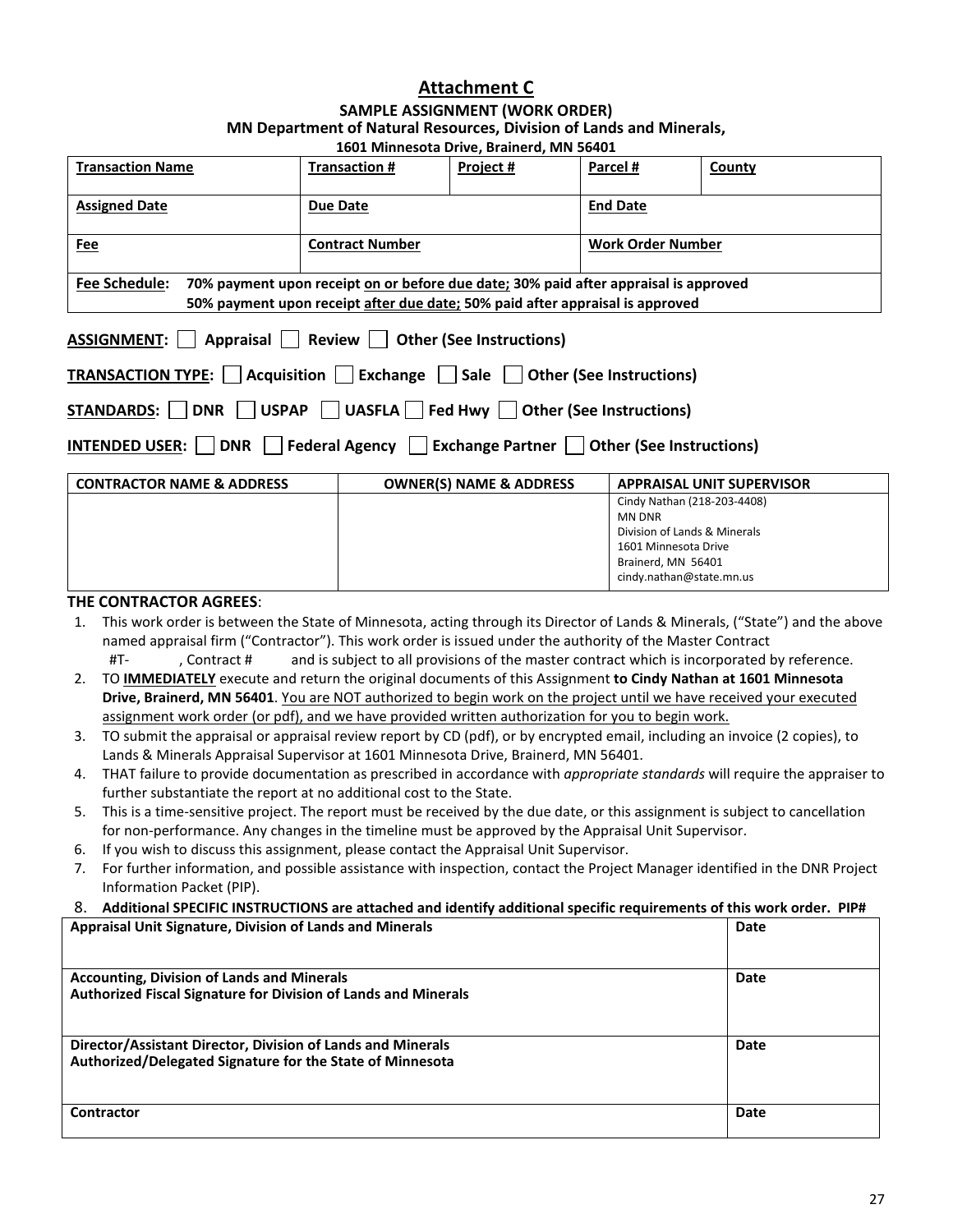## **Attachment C SAMPLE ASSIGNMENT (WORK ORDER) MN Department of Natural Resources, Division of Lands and Minerals,**

|                                                                                                                                                                                                                        |                                                                                      | 1601 Minnesota Drive, Brainerd, MN 56401                     |                                                                                                                                                        |                                                                                             |
|------------------------------------------------------------------------------------------------------------------------------------------------------------------------------------------------------------------------|--------------------------------------------------------------------------------------|--------------------------------------------------------------|--------------------------------------------------------------------------------------------------------------------------------------------------------|---------------------------------------------------------------------------------------------|
| <b>Transaction Name</b>                                                                                                                                                                                                | <b>Transaction #</b>                                                                 | Project #                                                    | Parcel #                                                                                                                                               | <b>County</b>                                                                               |
| <b>Assigned Date</b>                                                                                                                                                                                                   | <b>Due Date</b>                                                                      |                                                              | <b>End Date</b>                                                                                                                                        |                                                                                             |
| <u>Fee</u>                                                                                                                                                                                                             | <b>Contract Number</b>                                                               |                                                              | <b>Work Order Number</b>                                                                                                                               |                                                                                             |
| <b>Fee Schedule:</b>                                                                                                                                                                                                   | 70% payment upon receipt on or before due date; 30% paid after appraisal is approved |                                                              |                                                                                                                                                        |                                                                                             |
|                                                                                                                                                                                                                        | 50% payment upon receipt after due date; 50% paid after appraisal is approved        |                                                              |                                                                                                                                                        |                                                                                             |
| ASSIGNMENT:                                                                                                                                                                                                            | Appraisal     Review     Other (See Instructions)                                    |                                                              |                                                                                                                                                        |                                                                                             |
| <b>TRANSACTION TYPE:</b> Acquisition Exchange Sale Other (See Instructions)                                                                                                                                            |                                                                                      |                                                              |                                                                                                                                                        |                                                                                             |
| <b>USPAP</b><br><b>DNR</b><br><b>STANDARDS:</b>                                                                                                                                                                        |                                                                                      | $\Box$ UASFLA $\Box$ Fed Hwy $\Box$ Other (See Instructions) |                                                                                                                                                        |                                                                                             |
| INTENDED USER:                                                                                                                                                                                                         | DNR     Federal Agency     Exchange Partner     Other (See Instructions)             |                                                              |                                                                                                                                                        |                                                                                             |
| <b>CONTRACTOR NAME &amp; ADDRESS</b>                                                                                                                                                                                   |                                                                                      | <b>OWNER(S) NAME &amp; ADDRESS</b>                           |                                                                                                                                                        | <b>APPRAISAL UNIT SUPERVISOR</b>                                                            |
|                                                                                                                                                                                                                        |                                                                                      |                                                              | Cindy Nathan (218-203-4408)<br><b>MN DNR</b><br>Division of Lands & Minerals<br>1601 Minnesota Drive<br>Brainerd, MN 56401<br>cindy.nathan@state.mn.us |                                                                                             |
| THE CONTRACTOR AGREES:                                                                                                                                                                                                 |                                                                                      |                                                              |                                                                                                                                                        |                                                                                             |
| This work order is between the State of Minnesota, acting through its Director of Lands & Minerals, ("State") and the above<br>1.                                                                                      |                                                                                      |                                                              |                                                                                                                                                        |                                                                                             |
| named appraisal firm ("Contractor"). This work order is issued under the authority of the Master Contract                                                                                                              |                                                                                      |                                                              |                                                                                                                                                        |                                                                                             |
| $#T -$<br>, Contract #                                                                                                                                                                                                 |                                                                                      |                                                              |                                                                                                                                                        | and is subject to all provisions of the master contract which is incorporated by reference. |
| TO IMMEDIATELY execute and return the original documents of this Assignment to Cindy Nathan at 1601 Minnesota<br>2.                                                                                                    |                                                                                      |                                                              |                                                                                                                                                        |                                                                                             |
| Drive, Brainerd, MN 56401. You are NOT authorized to begin work on the project until we have received your executed                                                                                                    |                                                                                      |                                                              |                                                                                                                                                        |                                                                                             |
| assignment work order (or pdf), and we have provided written authorization for you to begin work.                                                                                                                      |                                                                                      |                                                              |                                                                                                                                                        |                                                                                             |
| TO submit the appraisal or appraisal review report by CD (pdf), or by encrypted email, including an invoice (2 copies), to<br>3.<br>Lands & Minerals Appraisal Supervisor at 1601 Minnesota Drive, Brainerd, MN 56401. |                                                                                      |                                                              |                                                                                                                                                        |                                                                                             |
| THAT failure to provide documentation as prescribed in accordance with appropriate standards will require the appraiser to<br>4.                                                                                       |                                                                                      |                                                              |                                                                                                                                                        |                                                                                             |
| further substantiate the report at no additional cost to the State.<br>This is a time-sensitive project. The report must be received by the due date, or this assignment is subject to cancellation<br>5.              |                                                                                      |                                                              |                                                                                                                                                        |                                                                                             |
| for non-performance. Any changes in the timeline must be approved by the Appraisal Unit Supervisor.                                                                                                                    |                                                                                      |                                                              |                                                                                                                                                        |                                                                                             |
| If you wish to discuss this assignment, please contact the Appraisal Unit Supervisor.<br>6.                                                                                                                            |                                                                                      |                                                              |                                                                                                                                                        |                                                                                             |
| For further information, and possible assistance with inspection, contact the Project Manager identified in the DNR Project<br>7.<br>Information Packet (PIP).                                                         |                                                                                      |                                                              |                                                                                                                                                        |                                                                                             |
| Additional SPECIFIC INSTRUCTIONS are attached and identify additional specific requirements of this work order. PIP#<br>8.                                                                                             |                                                                                      |                                                              |                                                                                                                                                        |                                                                                             |
| Appraisal Unit Signature, Division of Lands and Minerals                                                                                                                                                               |                                                                                      |                                                              |                                                                                                                                                        | Date                                                                                        |
|                                                                                                                                                                                                                        |                                                                                      |                                                              |                                                                                                                                                        |                                                                                             |
| <b>Accounting, Division of Lands and Minerals</b><br>Authorized Fiscal Signature for Division of Lands and Minerals                                                                                                    |                                                                                      |                                                              |                                                                                                                                                        | Date                                                                                        |
|                                                                                                                                                                                                                        |                                                                                      |                                                              |                                                                                                                                                        |                                                                                             |
| Director/Assistant Director, Division of Lands and Minerals<br>Authorized/Delegated Signature for the State of Minnesota                                                                                               |                                                                                      |                                                              |                                                                                                                                                        | <b>Date</b>                                                                                 |
|                                                                                                                                                                                                                        |                                                                                      |                                                              |                                                                                                                                                        |                                                                                             |
| Contractor                                                                                                                                                                                                             |                                                                                      |                                                              |                                                                                                                                                        | Date                                                                                        |